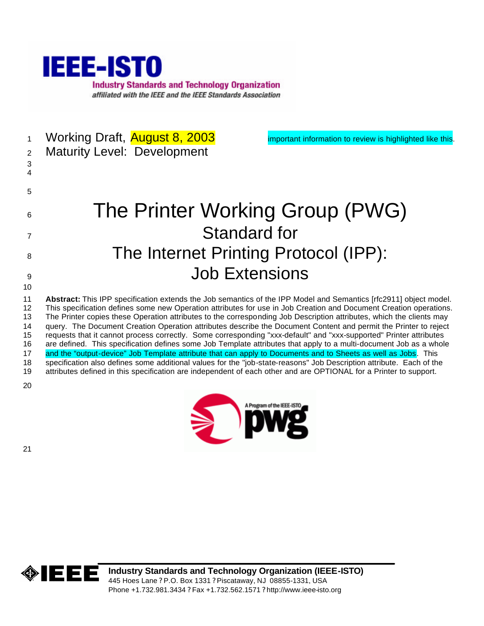

- 1 Working Draft, **August 8, 2003** important information to review is highlighted like this. Maturity Level: Development
- 6 The Printer Working Group (PWG) Standard for 8 The Internet Printing Protocol (IPP): Job Extensions
- **Abstract:** This IPP specification extends the Job semantics of the IPP Model and Semantics [rfc2911] object model. This specification defines some new Operation attributes for use in Job Creation and Document Creation operations. The Printer copies these Operation attributes to the corresponding Job Description attributes, which the clients may query. The Document Creation Operation attributes describe the Document Content and permit the Printer to reject requests that it cannot process correctly. Some corresponding "xxx-default" and "xxx-supported" Printer attributes are defined. This specification defines some Job Template attributes that apply to a multi-document Job as a whole 17 and the "output-device" Job Template attribute that can apply to Documents and to Sheets as well as Jobs. This specification also defines some additional values for the "job-state-reasons" Job Description attribute. Each of the attributes defined in this specification are independent of each other and are OPTIONAL for a Printer to support.
- 





**Industry Standards and Technology Organization (IEEE-ISTO)** 445 Hoes Lane ? P.O. Box 1331 ? Piscataway, NJ 08855-1331, USA Phone +1.732.981.3434 ? Fax +1.732.562.1571 ? http://www.ieee-isto.org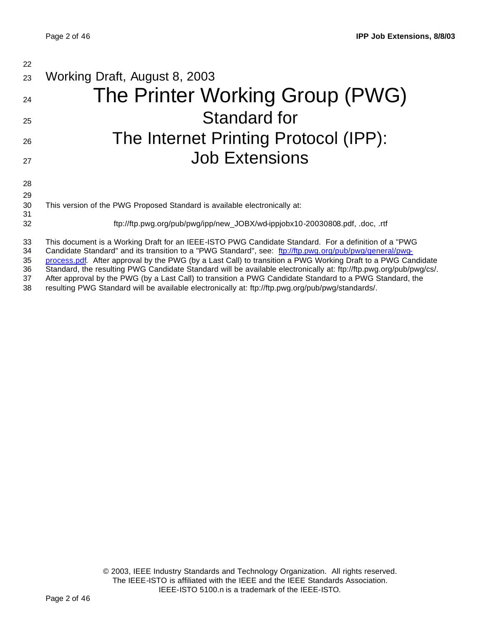| 22             |                                                                                                                                                                                                                                                                                                                                 |
|----------------|---------------------------------------------------------------------------------------------------------------------------------------------------------------------------------------------------------------------------------------------------------------------------------------------------------------------------------|
| 23             | Working Draft, August 8, 2003                                                                                                                                                                                                                                                                                                   |
| 24             | The Printer Working Group (PWG)                                                                                                                                                                                                                                                                                                 |
| 25             | Standard for                                                                                                                                                                                                                                                                                                                    |
| 26             | The Internet Printing Protocol (IPP):                                                                                                                                                                                                                                                                                           |
| 27             | <b>Job Extensions</b>                                                                                                                                                                                                                                                                                                           |
| 28             |                                                                                                                                                                                                                                                                                                                                 |
| 29             |                                                                                                                                                                                                                                                                                                                                 |
| 30<br>31       | This version of the PWG Proposed Standard is available electronically at:                                                                                                                                                                                                                                                       |
| 32             | ftp://ftp.pwg.org/pub/pwg/ipp/new_JOBX/wd-ippjobx10-20030808.pdf, .doc, .rtf                                                                                                                                                                                                                                                    |
| 33<br>34<br>35 | This document is a Working Draft for an IEEE-ISTO PWG Candidate Standard. For a definition of a "PWG<br>Candidate Standard" and its transition to a "PWG Standard", see: ftp://ftp.pwg.org/pub/pwg/general/pwg-<br>process.pdf. After approval by the PWG (by a Last Call) to transition a PWG Working Draft to a PWG Candidate |

36 Standard, the resulting PWG Candidate Standard will be available electronically at: ftp://ftp.pwg.org/pub/pwg/cs/.<br>37 After approval by the PWG (by a Last Call) to transition a PWG Candidate Standard to a PWG Standard,

37 After approval by the PWG (by a Last Call) to transition a PWG Candidate Standard to a PWG Standard, the 138 resulting PWG Standard will be available electronically at: ftp://ftp.pwg.org/pub/pwg/standards/.

resulting PWG Standard will be available electronically at: ftp://ftp.pwg.org/pub/pwg/standards/.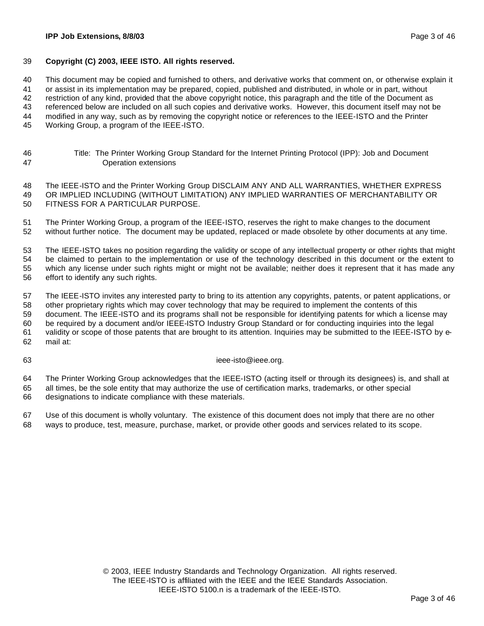#### **IPP Job Extensions, 8/8/03** Page 3 of 46

#### **Copyright (C) 2003, IEEE ISTO. All rights reserved.**

This document may be copied and furnished to others, and derivative works that comment on, or otherwise explain it

or assist in its implementation may be prepared, copied, published and distributed, in whole or in part, without

restriction of any kind, provided that the above copyright notice, this paragraph and the title of the Document as

referenced below are included on all such copies and derivative works. However, this document itself may not be

modified in any way, such as by removing the copyright notice or references to the IEEE-ISTO and the Printer

Working Group, a program of the IEEE-ISTO.

 Title: The Printer Working Group Standard for the Internet Printing Protocol (IPP): Job and Document Operation extensions

 The IEEE-ISTO and the Printer Working Group DISCLAIM ANY AND ALL WARRANTIES, WHETHER EXPRESS OR IMPLIED INCLUDING (WITHOUT LIMITATION) ANY IMPLIED WARRANTIES OF MERCHANTABILITY OR FITNESS FOR A PARTICULAR PURPOSE.

 The Printer Working Group, a program of the IEEE-ISTO, reserves the right to make changes to the document without further notice. The document may be updated, replaced or made obsolete by other documents at any time.

 The IEEE-ISTO takes no position regarding the validity or scope of any intellectual property or other rights that might be claimed to pertain to the implementation or use of the technology described in this document or the extent to which any license under such rights might or might not be available; neither does it represent that it has made any effort to identify any such rights.

 The IEEE-ISTO invites any interested party to bring to its attention any copyrights, patents, or patent applications, or other proprietary rights which may cover technology that may be required to implement the contents of this document. The IEEE-ISTO and its programs shall not be responsible for identifying patents for which a license may be required by a document and/or IEEE-ISTO Industry Group Standard or for conducting inquiries into the legal validity or scope of those patents that are brought to its attention. Inquiries may be submitted to the IEEE-ISTO by e-mail at:

#### ieee-isto@ieee.org.

 The Printer Working Group acknowledges that the IEEE-ISTO (acting itself or through its designees) is, and shall at all times, be the sole entity that may authorize the use of certification marks, trademarks, or other special designations to indicate compliance with these materials.

 Use of this document is wholly voluntary. The existence of this document does not imply that there are no other ways to produce, test, measure, purchase, market, or provide other goods and services related to its scope.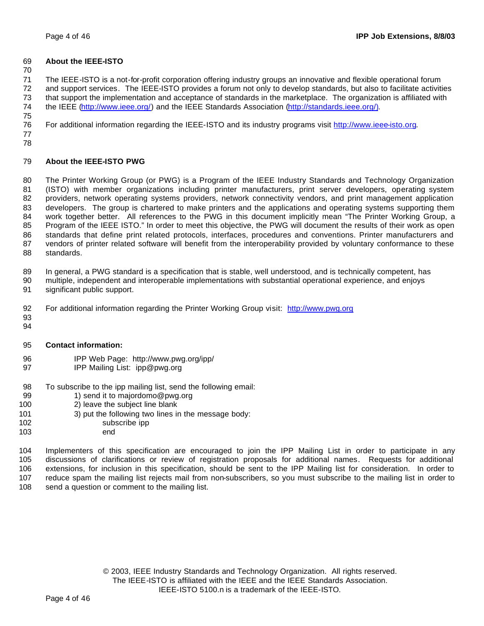#### **About the IEEE-ISTO**

 The IEEE-ISTO is a not-for-profit corporation offering industry groups an innovative and flexible operational forum and support services. The IEEE-ISTO provides a forum not only to develop standards, but also to facilitate activities that support the implementation and acceptance of standards in the marketplace. The organization is affiliated with the IEEE (http://www.ieee.org/) and the IEEE Standards Association (http://standards.ieee.org/). 

For additional information regarding the IEEE-ISTO and its industry programs visit http://www.ieee-isto.org.

 

### **About the IEEE-ISTO PWG**

 The Printer Working Group (or PWG) is a Program of the IEEE Industry Standards and Technology Organization (ISTO) with member organizations including printer manufacturers, print server developers, operating system providers, network operating systems providers, network connectivity vendors, and print management application developers. The group is chartered to make printers and the applications and operating systems supporting them work together better. All references to the PWG in this document implicitly mean "The Printer Working Group, a Program of the IEEE ISTO." In order to meet this objective, the PWG will document the results of their work as open standards that define print related protocols, interfaces, procedures and conventions. Printer manufacturers and vendors of printer related software will benefit from the interoperability provided by voluntary conformance to these standards.

In general, a PWG standard is a specification that is stable, well understood, and is technically competent, has

- multiple, independent and interoperable implementations with substantial operational experience, and enjoys significant public support.
- For additional information regarding the Printer Working Group visit: http://www.pwg.org
- 

#### **Contact information:**

- IPP Web Page: http://www.pwg.org/ipp/
- **IPP Mailing List: ipp@pwg.org**
- To subscribe to the ipp mailing list, send the following email:
- 99 1) send it to majordomo@pwg.org
- 2) leave the subject line blank
- 101 3) put the following two lines in the message body:
- subscribe ipp
- end

 Implementers of this specification are encouraged to join the IPP Mailing List in order to participate in any discussions of clarifications or review of registration proposals for additional names. Requests for additional extensions, for inclusion in this specification, should be sent to the IPP Mailing list for consideration. In order to reduce spam the mailing list rejects mail from non-subscribers, so you must subscribe to the mailing list in order to 108 send a question or comment to the mailing list.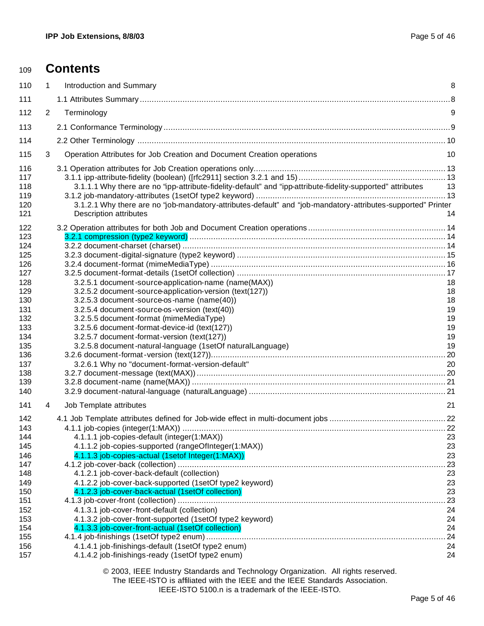| 109                                                                                                                               | <b>Contents</b>                                                                                                                                                                                                                                                                                                                                                                                                                                                                                                                                                                                     |                                                                                     |
|-----------------------------------------------------------------------------------------------------------------------------------|-----------------------------------------------------------------------------------------------------------------------------------------------------------------------------------------------------------------------------------------------------------------------------------------------------------------------------------------------------------------------------------------------------------------------------------------------------------------------------------------------------------------------------------------------------------------------------------------------------|-------------------------------------------------------------------------------------|
| 110                                                                                                                               | Introduction and Summary<br>1                                                                                                                                                                                                                                                                                                                                                                                                                                                                                                                                                                       | 8                                                                                   |
| 111                                                                                                                               |                                                                                                                                                                                                                                                                                                                                                                                                                                                                                                                                                                                                     |                                                                                     |
| 112                                                                                                                               | $\overline{2}$<br>Terminology                                                                                                                                                                                                                                                                                                                                                                                                                                                                                                                                                                       | 9                                                                                   |
| 113                                                                                                                               |                                                                                                                                                                                                                                                                                                                                                                                                                                                                                                                                                                                                     |                                                                                     |
| 114                                                                                                                               |                                                                                                                                                                                                                                                                                                                                                                                                                                                                                                                                                                                                     |                                                                                     |
| 115                                                                                                                               | 3<br>Operation Attributes for Job Creation and Document Creation operations                                                                                                                                                                                                                                                                                                                                                                                                                                                                                                                         | 10                                                                                  |
| 116<br>117<br>118<br>119<br>120<br>121                                                                                            | 3.1.1.1 Why there are no "ipp-attribute-fidelity-default" and "ipp-attribute-fidelity-supported" attributes<br>3.1.2.1 Why there are no "job-mandatory-attributes-default" and "job-mandatory-attributes-supported" Printer<br><b>Description attributes</b>                                                                                                                                                                                                                                                                                                                                        | 13<br>14                                                                            |
| 122<br>123<br>124<br>125<br>126<br>127<br>128<br>129<br>130<br>131<br>132<br>133<br>134<br>135<br>136<br>137<br>138<br>139<br>140 | 3.2.5.1 document-source-application-name (name(MAX))<br>3.2.5.2 document-source-application-version (text(127))<br>3.2.5.3 document-source-os-name (name(40))<br>3.2.5.4 document-source-os-version (text(40))<br>3.2.5.5 document-format (mimeMediaType)<br>3.2.5.6 document -format-device-id (text(127))<br>3.2.5.7 document-format-version (text(127))<br>3.2.5.8 document-natural-language (1setOf naturalLanguage)<br>3.2.6.1 Why no "document-format-version-default"                                                                                                                        | 18<br>18<br>18<br>19<br>19<br>19<br>19<br>19<br>20                                  |
| 141<br>142                                                                                                                        | Job Template attributes<br>4                                                                                                                                                                                                                                                                                                                                                                                                                                                                                                                                                                        | 21                                                                                  |
| 143<br>144<br>145<br>146<br>147<br>148<br>149<br>150<br>151<br>152<br>153<br>154<br>155<br>156<br>157                             | 4.1.1.1 job-copies-default (integer(1:MAX))<br>4.1.1.2 job-copies-supported (rangeOfInteger(1:MAX))<br>4.1.1.3 job-copies-actual (1setof Integer(1:MAX))<br>4.1.2.1 job-cover-back-default (collection)<br>4.1.2.2 job-cover-back-supported (1setOf type2 keyword)<br>4.1.2.3 job-cover-back-actual (1setOf collection)<br>4.1.3.1 job-cover-front-default (collection)<br>4.1.3.2 job-cover-front-supported (1setOf type2 keyword)<br>4.1.3.3 job-cover-front-actual (1setOf collection)<br>4.1.4.1 job-finishings-default (1setOf type2 enum)<br>4.1.4.2 job-finishings-ready (1setOf type2 enum) | 23<br>23<br>23<br>.23<br>23<br>23<br>23<br>.23<br>24<br>24<br>24<br>.24<br>24<br>24 |
|                                                                                                                                   | © 2003, IEEE Industry Standards and Technology Organization. All rights reserved.                                                                                                                                                                                                                                                                                                                                                                                                                                                                                                                   |                                                                                     |

The IEEE-ISTO is affiliated with the IEEE and the IEEE Standards Association.

IEEE-ISTO 5100.n is a trademark of the IEEE-ISTO.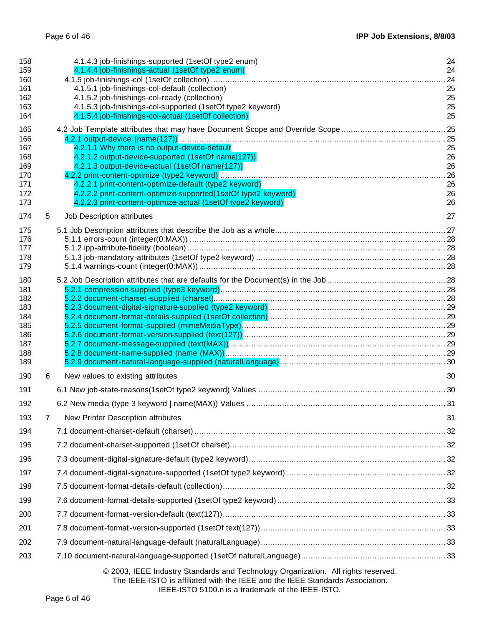| 158<br>159<br>160<br>161<br>162<br>163<br>164<br>165               |   | 4.1.4.3 job-finishings-supported (1setOf type2 enum)<br>4.1.4.4 job-finishings-actual (1setOf type2 enum)<br>4.1.5.1 job-finishings-col-default (collection)<br>4.1.5.2 job-finishings-col-ready (collection)<br>4.1.5.3 job-finishings-col-supported (1setOf type2 keyword)<br>4.1.5.4 job-finishings-col-actual (1setOf collection)              | 24<br>24<br>.24<br>25<br>25<br>25<br>25 |
|--------------------------------------------------------------------|---|----------------------------------------------------------------------------------------------------------------------------------------------------------------------------------------------------------------------------------------------------------------------------------------------------------------------------------------------------|-----------------------------------------|
| 166<br>167<br>168<br>169<br>170<br>171<br>172<br>173               |   | 4.2.1.1 Why there is no output-device-default<br>4.2.1.2 output-device-supported (1setOf name(127))<br>4.2.1.3 output-device-actual (1setOf name(127))<br>4.2.2.1 print-content-optimize-default (type2 keyword)<br>4.2.2.2 print-content-optimize-supported(1setOf type2 keyword)<br>4.2.2.3 print-content-optimize-actual (1setOf type2 keyword) | 25<br>26<br>26<br>26<br>26<br>26        |
| 174                                                                | 5 | Job Description attributes                                                                                                                                                                                                                                                                                                                         | 27                                      |
| 175<br>176<br>177<br>178<br>179                                    |   |                                                                                                                                                                                                                                                                                                                                                    |                                         |
| 180<br>181<br>182<br>183<br>184<br>185<br>186<br>187<br>188<br>189 |   |                                                                                                                                                                                                                                                                                                                                                    |                                         |
| 190                                                                | 6 | New values to existing attributes                                                                                                                                                                                                                                                                                                                  | 30                                      |
| 191                                                                |   |                                                                                                                                                                                                                                                                                                                                                    |                                         |
| 192                                                                |   |                                                                                                                                                                                                                                                                                                                                                    |                                         |
| 193                                                                | 7 | New Printer Description attributes                                                                                                                                                                                                                                                                                                                 | 31                                      |
| 194                                                                |   |                                                                                                                                                                                                                                                                                                                                                    |                                         |
| 195                                                                |   |                                                                                                                                                                                                                                                                                                                                                    |                                         |
| 196                                                                |   |                                                                                                                                                                                                                                                                                                                                                    |                                         |
| 197                                                                |   |                                                                                                                                                                                                                                                                                                                                                    |                                         |
| 198<br>199                                                         |   |                                                                                                                                                                                                                                                                                                                                                    |                                         |
| 200                                                                |   |                                                                                                                                                                                                                                                                                                                                                    |                                         |
| 201                                                                |   |                                                                                                                                                                                                                                                                                                                                                    |                                         |
| 202                                                                |   |                                                                                                                                                                                                                                                                                                                                                    |                                         |
| 203                                                                |   |                                                                                                                                                                                                                                                                                                                                                    |                                         |
|                                                                    |   | © 2003, IEEE Industry Standards and Technology Organization. All rights reserved.                                                                                                                                                                                                                                                                  |                                         |

The IEEE-ISTO is affiliated with the IEEE and the IEEE Standards Association.

IEEE-ISTO 5100.n is a trademark of the IEEE-ISTO.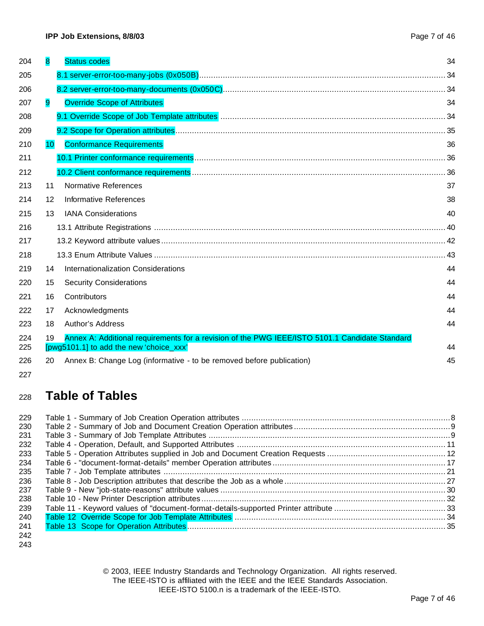| 204        | 8  | <b>Status codes</b>                                                                                                                       | 34 |
|------------|----|-------------------------------------------------------------------------------------------------------------------------------------------|----|
| 205        |    |                                                                                                                                           |    |
| 206        |    |                                                                                                                                           |    |
| 207        | 9  | <b>Override Scope of Attributes</b>                                                                                                       | 34 |
| 208        |    |                                                                                                                                           |    |
| 209        |    |                                                                                                                                           |    |
| 210        | 10 | <b>Conformance Requirements</b>                                                                                                           | 36 |
| 211        |    |                                                                                                                                           |    |
| 212        |    |                                                                                                                                           |    |
| 213        | 11 | Normative References                                                                                                                      | 37 |
| 214        | 12 | Informative References                                                                                                                    | 38 |
| 215        | 13 | <b>IANA Considerations</b>                                                                                                                | 40 |
| 216        |    |                                                                                                                                           |    |
| 217        |    |                                                                                                                                           |    |
| 218        |    |                                                                                                                                           |    |
| 219        | 14 | Internationalization Considerations                                                                                                       | 44 |
| 220        | 15 | <b>Security Considerations</b>                                                                                                            | 44 |
| 221        | 16 | Contributors                                                                                                                              | 44 |
| 222        | 17 | Acknowledgments                                                                                                                           | 44 |
| 223        | 18 | <b>Author's Address</b>                                                                                                                   | 44 |
| 224<br>225 | 19 | Annex A: Additional requirements for a revision of the PWG IEEE/ISTO 5101.1 Candidate Standard<br>[pwg5101.1] to add the new 'choice_xxx' | 44 |
| 226        | 20 | Annex B: Change Log (informative - to be removed before publication)                                                                      | 45 |
| 227        |    |                                                                                                                                           |    |

# **Table of Tables**

| 229 |  |
|-----|--|
| 230 |  |
| 231 |  |
| 232 |  |
| 233 |  |
| 234 |  |
| 235 |  |
| 236 |  |
| 237 |  |
| 238 |  |
| 239 |  |
| 240 |  |
| 241 |  |
| 242 |  |

© 2003, IEEE Industry Standards and Technology Organization. All rights reserved. The IEEE-ISTO is affiliated with the IEEE and the IEEE Standards Association. IEEE-ISTO 5100.n is a trademark of the IEEE-ISTO.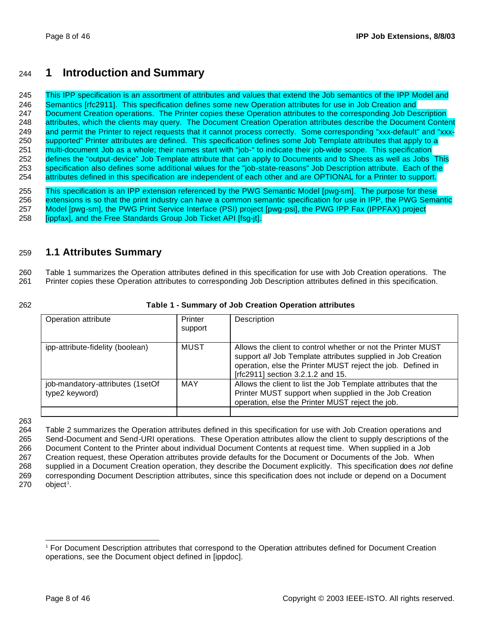# <sup>244</sup> **1 Introduction and Summary**

245 This IPP specification is an assortment of attributes and values that extend the Job semantics of the IPP Model and 246 Semantics [rfc2911]. This specification defines some new Operation attributes for use in Job Creation and 247 Document Creation operations. The Printer copies these Operation attributes to the corresponding Job Description 248 attributes, which the clients may query. The Document Creation Operation attributes describe the Document Content 249 and permit the Printer to reject requests that it cannot process correctly. Some corresponding "xxx-default" and "xxx-250 supported" Printer attributes are defined. This specification defines some Job Template attributes that apply to a 251 multi-document Job as a whole; their names start with "job-" to indicate their job-wide scope. This specification 252 defines the "output-device" Job Template attribute that can apply to Documents and to Sheets as well as Jobs This 253 specification also defines some additional values for the "job-state-reasons" Job Description attribute. Each of the 254 attributes defined in this specification are independent of each other and are OPTIONAL for a Printer to support.

255 This specification is an IPP extension referenced by the PWG Semantic Model [pwg-sm]. The purpose for these extensions is so that the print industry can have a common semantic specification for use in IPP, the PWG Semantic Model [pwg-sm], the PWG Print Service Interface (PSI) project [pwg-psi], the PWG IPP Fax (IPPFAX) project [ippfax], and the Free Standards Group Job Ticket API [fsg-jt].

### 259 **1.1 Attributes Summary**

260 Table 1 summarizes the Operation attributes defined in this specification for use with Job Creation operations. The 261 Printer copies these Operation attributes to corresponding Job Description attributes defined in this specification.

#### 262 **Table 1 - Summary of Job Creation Operation attributes**

| Operation attribute                                | Printer<br>support | Description                                                                                                                                                                                                                      |
|----------------------------------------------------|--------------------|----------------------------------------------------------------------------------------------------------------------------------------------------------------------------------------------------------------------------------|
| ipp-attribute-fidelity (boolean)                   | MUST               | Allows the client to control whether or not the Printer MUST<br>support all Job Template attributes supplied in Job Creation<br>operation, else the Printer MUST reject the job. Defined in<br>[rfc2911] section 3.2.1.2 and 15. |
| job-mandatory-attributes (1setOf<br>type2 keyword) | <b>MAY</b>         | Allows the client to list the Job Template attributes that the<br>Printer MUST support when supplied in the Job Creation<br>operation, else the Printer MUST reject the job.                                                     |

263

 Table 2 summarizes the Operation attributes defined in this specification for use with Job Creation operations and Send-Document and Send-URI operations. These Operation attributes allow the client to supply descriptions of the Document Content to the Printer about individual Document Contents at request time. When supplied in a Job Creation request, these Operation attributes provide defaults for the Document or Documents of the Job. When supplied in a Document Creation operation, they describe the Document explicitly. This specification does *not* define corresponding Document Description attributes, since this specification does not include or depend on a Document object<sup>1</sup>.

<sup>1</sup> For Document Description attributes that correspond to the Operation attributes defined for Document Creation operations, see the Document object defined in [ippdoc].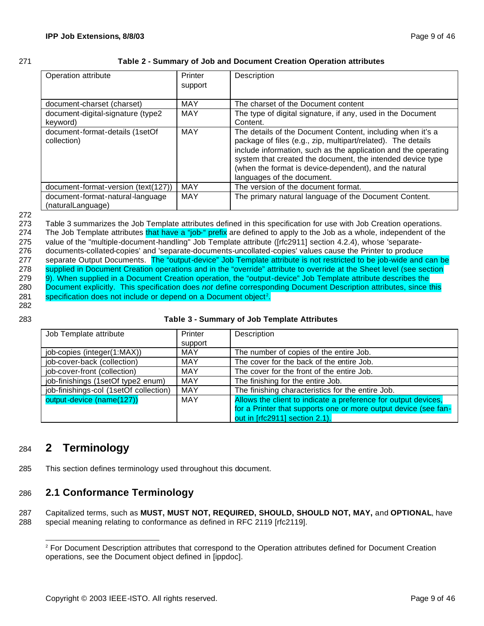| œ |  |
|---|--|
|   |  |

#### 271 **Table 2 - Summary of Job and Document Creation Operation attributes**

| Operation attribute                                   | Printer<br>support | Description                                                                                                                                                                                                                                                                                                                                        |
|-------------------------------------------------------|--------------------|----------------------------------------------------------------------------------------------------------------------------------------------------------------------------------------------------------------------------------------------------------------------------------------------------------------------------------------------------|
| document-charset (charset)                            | <b>MAY</b>         | The charset of the Document content                                                                                                                                                                                                                                                                                                                |
| document-digital-signature (type2<br>keyword)         | <b>MAY</b>         | The type of digital signature, if any, used in the Document<br>Content.                                                                                                                                                                                                                                                                            |
| document-format-details (1setOf<br>collection)        | <b>MAY</b>         | The details of the Document Content, including when it's a<br>package of files (e.g., zip, multipart/related). The details<br>include information, such as the application and the operating<br>system that created the document, the intended device type<br>(when the format is device-dependent), and the natural<br>languages of the document. |
| document-format-version (text(127))                   | <b>MAY</b>         | The version of the document format.                                                                                                                                                                                                                                                                                                                |
| document-format-natural-language<br>(naturalLanguage) | <b>MAY</b>         | The primary natural language of the Document Content.                                                                                                                                                                                                                                                                                              |

#### 272

273 Table 3 summarizes the Job Template attributes defined in this specification for use with Job Creation operations. 274 The Job Template attributes that have a "job-" prefix are defined to apply to the Job as a whole, independent of the 275 value of the "multiple-document-handling" Job Template attribute ([rfc2911] section 4.2.4), whose 'separate-276 documents-collated-copies' and 'separate-documents-uncollated-copies' values cause the Printer to produce 277 separate Output Documents. The "output-device" Job Template attribute is not restricted to be job-wide and can be 278 supplied in Document Creation operations and in the "override" attribute to override at the Sheet level (see section 279 9). When supplied in a Document Creation operation, the "output-device" Job Template attribute describes the 280 Document explicitly. This specification does *not* define corresponding Document Description attributes, since this 281 specification does not include or depend on a Document object<sup>2</sup>.

282

### 283 **Table 3 - Summary of Job Template Attributes**

| Job Template attribute                 | Printer    | Description                                                     |
|----------------------------------------|------------|-----------------------------------------------------------------|
|                                        | support    |                                                                 |
| job-copies (integer(1:MAX))            | MAY        | The number of copies of the entire Job.                         |
| job-cover-back (collection)            | MAY        | The cover for the back of the entire Job.                       |
| job-cover-front (collection)           | <b>MAY</b> | The cover for the front of the entire Job.                      |
| job-finishings (1setOf type2 enum)     | <b>MAY</b> | The finishing for the entire Job.                               |
| job-finishings-col (1setOf collection) | MAY        | The finishing characteristics for the entire Job.               |
| output-device (name(127))              | <b>MAY</b> | Allows the client to indicate a preference for output devices,  |
|                                        |            | for a Printer that supports one or more output device (see fan- |
|                                        |            | out in [rfc2911] section 2.1).                                  |

# <sup>284</sup> **2 Terminology**

285 This section defines terminology used throughout this document.

# 286 **2.1 Conformance Terminology**

287 Capitalized terms, such as **MUST, MUST NOT, REQUIRED, SHOULD, SHOULD NOT, MAY,** and **OPTIONAL**, have 288 special meaning relating to conformance as defined in RFC 2119 [rfc2119].

 <sup>2</sup> For Document Description attributes that correspond to the Operation attributes defined for Document Creation operations, see the Document object defined in [ippdoc].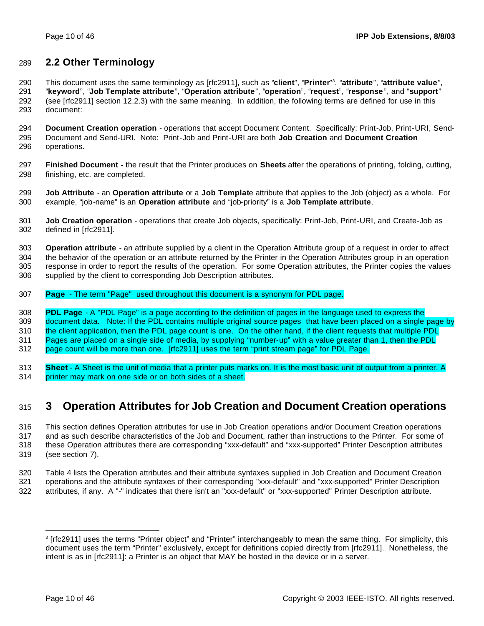### **2.2 Other Terminology**

This document uses the same terminology as [rfc2911], such as "**client**", "**Printer**" <sup>3</sup> , "**attribute**", "**attribute value**", "**keyword**", "**Job Template attribute**", "**Operation attribute**", "**operation**", "**request**", "**response** ", and "**support**" (see [rfc2911] section 12.2.3) with the same meaning. In addition, the following terms are defined for use in this document:

 **Document Creation operation** - operations that accept Document Content. Specifically: Print-Job, Print-URI, Send- Document and Send-URI. Note: Print-Job and Print-URI are both **Job Creation** and **Document Creation** operations.

 **Finished Document -** the result that the Printer produces on **Sheets** after the operations of printing, folding, cutting, finishing, etc. are completed.

 **Job Attribute** - an **Operation attribute** or a **Job Templat**e attribute that applies to the Job (object) as a whole. For example, "job-name" is an **Operation attribute** and "job-priority" is a **Job Template attribute**.

 **Job Creation operation** - operations that create Job objects, specifically: Print-Job, Print-URI, and Create-Job as defined in [rfc2911].

 **Operation attribute** - an attribute supplied by a client in the Operation Attribute group of a request in order to affect the behavior of the operation or an attribute returned by the Printer in the Operation Attributes group in an operation response in order to report the results of the operation. For some Operation attributes, the Printer copies the values supplied by the client to corresponding Job Description attributes.

**Page** - The term "Page" used throughout this document is a synonym for PDL page.

**PDL Page** - A "PDL Page" is a page according to the definition of pages in the language used to express the

309 document data. Note: If the PDL contains multiple original source pages that have been placed on a single page by 310 the client application, then the PDL page count is one. On the other hand, if the client requests that multiple PDL

Pages are placed on a single side of media, by supplying "number-up" with a value greater than 1, then the PDL

page count will be more than one. [rfc2911] uses the term "print stream page" for PDL Page.

 **Sheet** - A Sheet is the unit of media that a printer puts marks on. It is the most basic unit of output from a printer. A printer may mark on one side or on both sides of a sheet.

# **3 Operation Attributes for Job Creation and Document Creation operations**

 This section defines Operation attributes for use in Job Creation operations and/or Document Creation operations and as such describe characteristics of the Job and Document, rather than instructions to the Printer. For some of these Operation attributes there are corresponding "xxx-default" and "xxx-supported" Printer Description attributes (see section 7).

 Table 4 lists the Operation attributes and their attribute syntaxes supplied in Job Creation and Document Creation operations and the attribute syntaxes of their corresponding "xxx-default" and "xxx-supported" Printer Description attributes, if any. A "-" indicates that there isn't an "xxx-default" or "xxx-supported" Printer Description attribute.

 [rfc2911] uses the terms "Printer object" and "Printer" interchangeably to mean the same thing. For simplicity, this document uses the term "Printer" exclusively, except for definitions copied directly from [rfc2911]. Nonetheless, the intent is as in [rfc2911]: a Printer is an object that MAY be hosted in the device or in a server.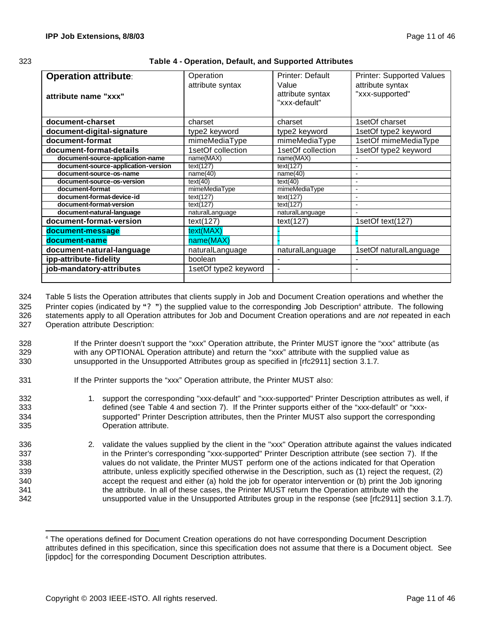|                              | œ |
|------------------------------|---|
| ٦<br>٦<br>×<br>۰,<br>×<br>۰. |   |

| 323 | Table 4 - Operation, Default, and Supported Attributes |
|-----|--------------------------------------------------------|
|     |                                                        |

| <b>Operation attribute:</b><br>attribute name "xxx" | Operation<br>attribute syntax | <b>Printer: Default</b><br>Value<br>attribute syntax<br>"xxx-default" | Printer: Supported Values<br>attribute syntax<br>"xxx-supported" |
|-----------------------------------------------------|-------------------------------|-----------------------------------------------------------------------|------------------------------------------------------------------|
| document-charset                                    | charset                       | charset                                                               | 1setOf charset                                                   |
| document-digital-signature                          | type2 keyword                 | type2 keyword                                                         | 1setOf type2 keyword                                             |
| document-format                                     | mimeMediaType                 | mimeMediaType                                                         | 1setOf mimeMediaType                                             |
| document-format-details                             | 1setOf collection             | 1setOf collection                                                     | 1setOf type2 keyword                                             |
| document-source-application-name                    | name(MAX)                     | name(MAX)                                                             |                                                                  |
| document-source-application-version                 | text(127)                     | text(127)                                                             |                                                                  |
| document-source-os-name                             | name(40)                      | name(40)                                                              | $\overline{\phantom{a}}$                                         |
| document-source-os-version                          | text(40)                      | text(40)                                                              |                                                                  |
| document-format                                     | mimeMediaType                 | mimeMediaType                                                         |                                                                  |
| document-format-device-id                           | text(127)                     | text(127)                                                             | $\overline{\phantom{a}}$                                         |
| document-format-version                             | text(127)                     | text(127)                                                             |                                                                  |
| document-natural-language                           | naturalLanguage               | naturalLanguage                                                       |                                                                  |
| document-format-version                             | text(127)                     | text(127)                                                             | 1setOf text(127)                                                 |
| document-message                                    | text(MAX)                     |                                                                       |                                                                  |
| document-name                                       | name(MAX)                     |                                                                       |                                                                  |
| document-natural-language                           | naturalLanguage               | naturalLanguage                                                       | 1setOf naturalLanguage                                           |
| ipp-attribute-fidelity                              | boolean                       |                                                                       |                                                                  |
| job-mandatory-attributes                            | 1setOf type2 keyword          | $\overline{\phantom{a}}$                                              |                                                                  |
|                                                     |                               |                                                                       |                                                                  |

 Table 5 lists the Operation attributes that clients supply in Job and Document Creation operations and whether the 325 Printer copies (indicated by "?") the supplied value to the corresponding Job Description<sup>4</sup> attribute. The following statements apply to all Operation attributes for Job and Document Creation operations and are *not* repeated in each Operation attribute Description:

- 328 If the Printer doesn't support the "xxx" Operation attribute, the Printer MUST ignore the "xxx" attribute (as 329 with any OPTIONAL Operation attribute) and return the "xxx" attribute with the supplied value as 330 unsupported in the Unsupported Attributes group as specified in [rfc2911] section 3.1.7.
- 331 If the Printer supports the "xxx" Operation attribute, the Printer MUST also:
- 332 1. support the corresponding "xxx-default" and "xxx-supported" Printer Description attributes as well, if 333 defined (see Table 4 and section 7). If the Printer supports either of the "xxx-default" or "xxx-334 supported" Printer Description attributes, then the Printer MUST also support the corresponding 335 Operation attribute.
- 336 2. validate the values supplied by the client in the "xxx" Operation attribute against the values indicated 337 in the Printer's corresponding "xxx-supported" Printer Description attribute (see section 7). If the 338 values do not validate, the Printer MUST perform one of the actions indicated for that Operation 339 attribute, unless explicitly specified otherwise in the Description, such as (1) reject the request, (2) 340 accept the request and either (a) hold the job for operator intervention or (b) print the Job ignoring 341 the attribute. In all of these cases, the Printer MUST return the Operation attribute with the 342 unsupported value in the Unsupported Attributes group in the response (see [rfc2911] section 3.1.7).

<sup>4</sup> The operations defined for Document Creation operations do not have corresponding Document Description attributes defined in this specification, since this specification does not assume that there is a Document object. See [ippdoc] for the corresponding Document Description attributes.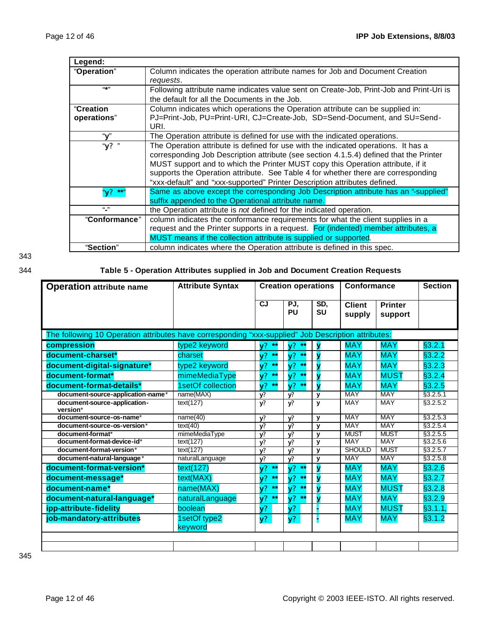| Legend:          |                                                                                         |
|------------------|-----------------------------------------------------------------------------------------|
| "Operation"      | Column indicates the operation attribute names for Job and Document Creation            |
|                  | requests.                                                                               |
| $(4 + 1)$        | Following attribute name indicates value sent on Create-Job, Print-Job and Print-Uri is |
|                  | the default for all the Documents in the Job.                                           |
| <b>"Creation</b> | Column indicates which operations the Operation attribute can be supplied in:           |
| operations"      | PJ=Print-Job, PU=Print-URI, CJ=Create-Job, SD=Send-Document, and SU=Send-               |
|                  | URI.                                                                                    |
| "v"              | The Operation attribute is defined for use with the indicated operations.               |
| "y? "            | The Operation attribute is defined for use with the indicated operations. It has a      |
|                  | corresponding Job Description attribute (see section 4.1.5.4) defined that the Printer  |
|                  | MUST support and to which the Printer MUST copy this Operation attribute, if it         |
|                  | supports the Operation attribute. See Table 4 for whether there are corresponding       |
|                  | "xxx-default" and "xxx-supported" Printer Description attributes defined.               |
| "v?<br>- **      | Same as above except the corresponding Job Description attribute has an "-supplied"     |
|                  | suffix appended to the Operational attribute name.                                      |
| (1, 1)           | the Operation attribute is not defined for the indicated operation.                     |
| "Conformance"    | column indicates the conformance requirements for what the client supplies in a         |
|                  | request and the Printer supports in a request. For (indented) member attributes, a      |
|                  | MUST means if the collection attribute is supplied or supported.                        |
| "Section"        | column indicates where the Operation attribute is defined in this spec.                 |

343

## 344 **Table 5 - Operation Attributes supplied in Job and Document Creation Requests**

| <b>Operation attribute name</b>                                                                     | <b>Attribute Syntax</b> | <b>Creation operations</b> |                                   | Conformance      |                         | <b>Section</b>            |           |
|-----------------------------------------------------------------------------------------------------|-------------------------|----------------------------|-----------------------------------|------------------|-------------------------|---------------------------|-----------|
|                                                                                                     |                         | CJ                         | PJ,<br>PU                         | SD,<br><b>SU</b> | <b>Client</b><br>supply | <b>Printer</b><br>support |           |
| The following 10 Operation attributes have corresponding "xxx-supplied" Job Description attributes: |                         |                            |                                   |                  |                         |                           |           |
| compression                                                                                         | type2 keyword           | V <sup>2</sup><br>$*$      | V <sup>2</sup>                    |                  | <b>MAY</b>              | <b>MAY</b>                | §3.2.1    |
| document-charset*                                                                                   | charset                 | $***$<br>$\mathsf{v}$ ?    | **<br>V <sup>2</sup>              |                  | <b>MAY</b>              | <b>MAY</b>                | §3.2.2    |
| document-digital-signature*                                                                         | type2 keyword           | $**$<br>V <sup>2</sup>     | $\mathsf{v}^{\mathsf{p}}$<br>$**$ |                  | <b>MAY</b>              | <b>MAY</b>                | §3.2.3    |
| document-format*                                                                                    | mimeMediaType           | $**$<br>V <sup>2</sup>     | V <sup>2</sup><br>$***$           |                  | <b>MAY</b>              | <b>MUST</b>               | §3.2.4    |
| document-format-details*                                                                            | 1setOf collection       | $**$<br>V <sup>2</sup>     | $***$<br>V <sup>2</sup>           |                  | <b>MAY</b>              | <b>MAY</b>                | §3.2.5    |
| document-source-application-name*                                                                   | name(MAX)               | v?                         | V?                                | y                | <b>MAY</b>              | <b>MAY</b>                | \$3.2.5.1 |
| document-source-application-<br>version*                                                            | text(127)               | y?                         | y?                                | $\mathbf{v}$     | <b>MAY</b>              | <b>MAY</b>                | §3.2.5.2  |
| document-source-os-name*                                                                            | name(40)                | y?                         | y?                                | y                | <b>MAY</b>              | <b>MAY</b>                | §3.2.5.3  |
| document-source-os-version*                                                                         | text(40)                | y?                         | V?                                | $\mathbf{v}$     | <b>MAY</b>              | <b>MAY</b>                | \$3.2.5.4 |
| document-format*                                                                                    | mimeMediaType           | y?                         | y?                                | $\mathbf v$      | <b>MUST</b>             | <b>MUST</b>               | \$3.2.5.5 |
| document-format-device-id*                                                                          | text(127)               | V?                         | $\mathbf{v}$                      | $\mathbf{v}$     | <b>MAY</b>              | <b>MAY</b>                | \$3.2.5.6 |
| document-format-version*                                                                            | text(127)               | V?                         | V?                                | y                | <b>SHOULD</b>           | <b>MUST</b>               | §3.2.5.7  |
| document-natural-language*                                                                          | naturalLanguage         | y?                         | v?                                | y                | <b>MAY</b>              | <b>MAY</b>                | \$3.2.5.8 |
| document-format-version*                                                                            | text(127)               | $**$<br>$\sqrt{?}$         | $\sqrt{?}$<br>$**$                |                  | <b>MAY</b>              | <b>MAY</b>                | §3.2.6    |
| document-message*                                                                                   | text(MAX)               | $***$<br>V <sup>2</sup>    | V <sup>2</sup><br>$**$            | N                | <b>MAY</b>              | <b>MAY</b>                | §3.2.7    |
| document-name*                                                                                      | name(MAX)               | $**$<br>V <sup>2</sup>     | $\sqrt{?}$<br>$**$                |                  | <b>MAY</b>              | <b>MUST</b>               | §3.2.8    |
| document-natural-language*                                                                          | naturalLanguage         | $**$<br>V <sup>2</sup>     | V <sup>2</sup><br>$**$            |                  | <b>MAY</b>              | <b>MAY</b>                | §3.2.9    |
| ipp-attribute-fidelity                                                                              | boolean                 | $y$ ?                      | $y$ ?                             |                  | <b>MAY</b>              | <b>MUST</b>               | §3.1.1,   |
| job-mandatory-attributes                                                                            | 1setOf type2<br>keyword | $y$ ?                      | $y$ ?                             |                  | <b>MAY</b>              | <b>MAY</b>                | §3.1.2    |
|                                                                                                     |                         |                            |                                   |                  |                         |                           |           |
|                                                                                                     |                         |                            |                                   |                  |                         |                           |           |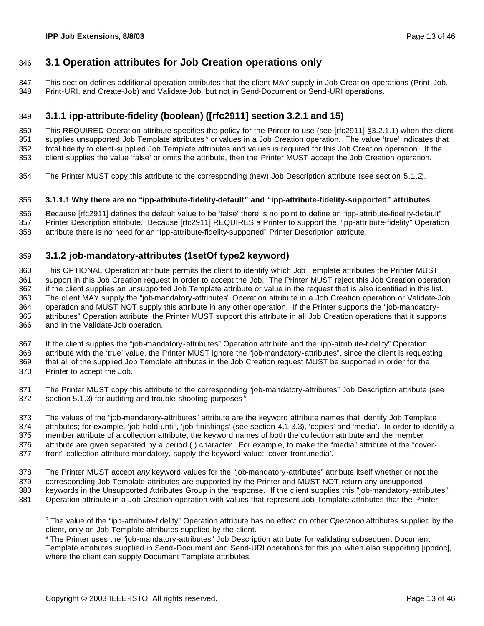### **3.1 Operation attributes for Job Creation operations only**

 This section defines additional operation attributes that the client MAY supply in Job Creation operations (Print-Job, Print-URI, and Create-Job) and Validate-Job, but not in Send-Document or Send-URI operations.

### **3.1.1 ipp-attribute-fidelity (boolean) ([rfc2911] section 3.2.1 and 15)**

 This REQUIRED Operation attribute specifies the policy for the Printer to use (see [rfc2911] §3.2.1.1) when the client 351 supplies unsupported Job Template attributes<sup>5</sup> or values in a Job Creation operation. The value 'true' indicates that total fidelity to client-supplied Job Template attributes and values is required for this Job Creation operation. If the client supplies the value 'false' or omits the attribute, then the Printer MUST accept the Job Creation operation.

The Printer MUST copy this attribute to the corresponding (new) Job Description attribute (see section 5.1.2).

#### **3.1.1.1 Why there are no "ipp-attribute-fidelity-default" and "ipp-attribute-fidelity-supported" attributes**

 Because [rfc2911] defines the default value to be 'false' there is no point to define an "ipp-attribute-fidelity-default" Printer Description attribute. Because [rfc2911] REQUIRES a Printer to support the "ipp-attribute-fidelity" Operation attribute there is no need for an "ipp-attribute-fidelity-supported" Printer Description attribute.

### **3.1.2 job-mandatory-attributes (1setOf type2 keyword)**

 This OPTIONAL Operation attribute permits the client to identify which Job Template attributes the Printer MUST support in this Job Creation request in order to accept the Job. The Printer MUST reject this Job Creation operation if the client supplies an unsupported Job Template attribute or value in the request that is also identified in this list. The client MAY supply the "job-mandatory-attributes" Operation attribute in a Job Creation operation or Validate-Job operation and MUST NOT supply this attribute in any other operation. If the Printer supports the "job-mandatory- attributes" Operation attribute, the Printer MUST support this attribute in all Job Creation operations that it supports and in the Validate-Job operation.

 If the client supplies the "job-mandatory-attributes" Operation attribute and the 'ipp-attribute-fidelity" Operation attribute with the 'true' value, the Printer MUST ignore the "job-mandatory-attributes", since the client is requesting that all of the supplied Job Template attributes in the Job Creation request MUST be supported in order for the Printer to accept the Job.

 The Printer MUST copy this attribute to the corresponding "job-mandatory-attributes" Job Description attribute (see section 5.1.3) for auditing and trouble-shooting purposes<sup>6</sup>.

373 The values of the "job-mandatory-attributes" attribute are the keyword attribute names that identify Job Template<br>374 attributes; for example, 'job-hold-until', 'job-finishings' (see section 4.1.3.3), 'copies' and 'med attributes; for example, 'job-hold-until', 'job-finishings' (see section 4.1.3.3), 'copies' and 'media'. In order to identify a member attribute of a collection attribute, the keyword names of both the collection attribute and the member attribute are given separated by a period (.) character. For example, to make the "media" attribute of the "cover-front" collection attribute mandatory, supply the keyword value: 'cover-front.media'.

The Printer MUST accept *any* keyword values for the "job-mandatory-attributes" attribute itself whether or not the

 corresponding Job Template attributes are supported by the Printer and MUST NOT return any unsupported keywords in the Unsupported Attributes Group in the response. If the client supplies this "job-mandatory-attributes"

Operation attribute in a Job Creation operation with values that represent Job Template attributes that the Printer

 The value of the "ipp-attribute-fidelity" Operation attribute has no effect on other O*peration* attributes supplied by the client, only on Job Template attributes supplied by the client.

 The Printer uses the "job-mandatory-attributes" Job Description attribute for validating subsequent Document Template attributes supplied in Send-Document and Send-URI operations for this job when also supporting [ippdoc], where the client can supply Document Template attributes.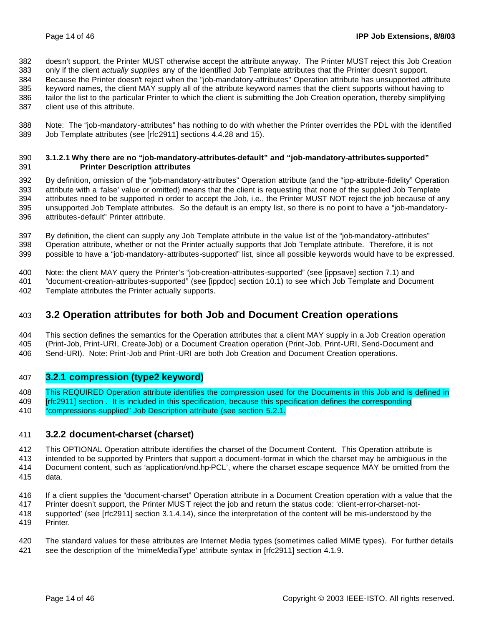doesn't support, the Printer MUST otherwise accept the attribute anyway. The Printer MUST reject this Job Creation only if the client *actually supplies* any of the identified Job Template attributes that the Printer doesn't support.

Because the Printer doesn't reject when the "job-mandatory-attributes" Operation attribute has unsupported attribute

 keyword names, the client MAY supply all of the attribute keyword names that the client supports without having to tailor the list to the particular Printer to which the client is submitting the Job Creation operation, thereby simplifying

client use of this attribute.

 Note: The "job-mandatory-attributes" has nothing to do with whether the Printer overrides the PDL with the identified Job Template attributes (see [rfc2911] sections 4.4.28 and 15).

#### **3.1.2.1 Why there are no "job-mandatory-attributes-default" and "job-mandatory-attributes-supported" Printer Description attributes**

 By definition, omission of the "job-mandatory-attributes" Operation attribute (and the "ipp-attribute-fidelity" Operation attribute with a 'false' value or omitted) means that the client is requesting that none of the supplied Job Template attributes need to be supported in order to accept the Job, i.e., the Printer MUST NOT reject the job because of any unsupported Job Template attributes. So the default is an empty list, so there is no point to have a "job-mandatory-attributes-default" Printer attribute.

 By definition, the client can supply any Job Template attribute in the value list of the "job-mandatory-attributes" Operation attribute, whether or not the Printer actually supports that Job Template attribute. Therefore, it is not possible to have a "job-mandatory-attributes-supported" list, since all possible keywords would have to be expressed.

Note: the client MAY query the Printer's "job-creation-attributes-supported" (see [ippsave] section 7.1) and

 "document-creation-attributes-supported" (see [ippdoc] section 10.1) to see which Job Template and Document Template attributes the Printer actually supports.

### **3.2 Operation attributes for both Job and Document Creation operations**

 This section defines the semantics for the Operation attributes that a client MAY supply in a Job Creation operation (Print-Job, Print-URI, Create-Job) or a Document Creation operation (Print-Job, Print-URI, Send-Document and Send-URI). Note: Print-Job and Print-URI are both Job Creation and Document Creation operations.

### **3.2.1 compression (type2 keyword)**

This REQUIRED Operation attribute identifies the compression used for the Documents in this Job and is defined in

[rfc2911] section . It is included in this specification, because this specification defines the corresponding

"compressions-supplied" Job Description attribute (see section 5.2.1.

### **3.2.2 document-charset (charset)**

This OPTIONAL Operation attribute identifies the charset of the Document Content. This Operation attribute is

 intended to be supported by Printers that support a document-format in which the charset may be ambiguous in the Document content, such as 'application/vnd.hp-PCL', where the charset escape sequence MAY be omitted from the

data.

If a client supplies the "document-charset" Operation attribute in a Document Creation operation with a value that the

Printer doesn't support, the Printer MUST reject the job and return the status code: 'client-error-charset-not-

 supported' (see [rfc2911] section 3.1.4.14), since the interpretation of the content will be mis-understood by the Printer.

 The standard values for these attributes are Internet Media types (sometimes called MIME types). For further details see the description of the 'mimeMediaType' attribute syntax in [rfc2911] section 4.1.9.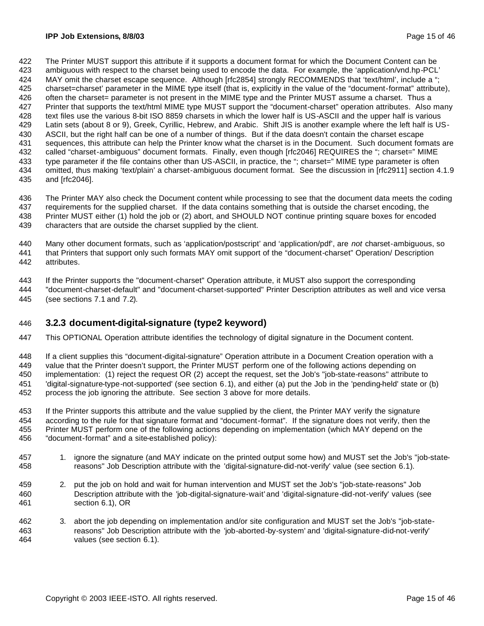The Printer MUST support this attribute if it supports a document format for which the Document Content can be ambiguous with respect to the charset being used to encode the data. For example, the 'application/vnd.hp-PCL' 424 MAY omit the charset escape sequence. Although [rfc2854] strongly RECOMMENDS that 'text/html', include a "; charset=charset' parameter in the MIME type itself (that is, explicitly in the value of the "document-format" attribute), often the charset= parameter is not present in the MIME type and the Printer MUST assume a charset. Thus a Printer that supports the text/html MIME type MUST support the "document-charset" operation attributes. Also many text files use the various 8-bit ISO 8859 charsets in which the lower half is US-ASCII and the upper half is various Latin sets (about 8 or 9), Greek, Cyrillic, Hebrew, and Arabic. Shift JIS is another example where the left half is US- ASCII, but the right half can be one of a number of things. But if the data doesn't contain the charset escape sequences, this attribute can help the Printer know what the charset is in the Document. Such document formats are 432 called "charset-ambiguous" document formats. Finally, even though [rfc2046] REQUIRES the "; charset=" MIME 433 type parameter if the file contains other than US-ASCII, in practice, the "; charset=" MIME type parameter is often omitted, thus making 'text/plain' a charset-ambiguous document format. See the discussion in [rfc2911] section 4.1.9 and [rfc2046].

 The Printer MAY also check the Document content while processing to see that the document data meets the coding requirements for the supplied charset. If the data contains something that is outside the charset encoding, the Printer MUST either (1) hold the job or (2) abort, and SHOULD NOT continue printing square boxes for encoded characters that are outside the charset supplied by the client.

 Many other document formats, such as 'application/postscript' and 'application/pdf', are *not* charset-ambiguous, so that Printers that support only such formats MAY omit support of the "document-charset" Operation/ Description attributes.

If the Printer supports the "document-charset" Operation attribute, it MUST also support the corresponding

 "document-charset-default" and "document-charset-supported" Printer Description attributes as well and vice versa (see sections 7.1 and 7.2).

### **3.2.3 document-digital-signature (type2 keyword)**

This OPTIONAL Operation attribute identifies the technology of digital signature in the Document content.

 If a client supplies this "document-digital-signature" Operation attribute in a Document Creation operation with a value that the Printer doesn't support, the Printer MUST perform one of the following actions depending on implementation: (1) reject the request OR (2) accept the request, set the Job's "job-state-reasons" attribute to 'digital-signature-type-not-supported' (see section 6.1), and either (a) put the Job in the 'pending-held' state or (b) process the job ignoring the attribute. See section 3 above for more details.

 If the Printer supports this attribute and the value supplied by the client, the Printer MAY verify the signature according to the rule for that signature format and "document-format". If the signature does not verify, then the Printer MUST perform one of the following actions depending on implementation (which MAY depend on the "document-format" and a site-established policy):

- 1. ignore the signature (and MAY indicate on the printed output some how) and MUST set the Job's "job-state-reasons" Job Description attribute with the 'digital-signature-did-not-verify' value (see section 6.1).
- 2. put the job on hold and wait for human intervention and MUST set the Job's "job-state-reasons" Job Description attribute with the 'job-digital-signature-wait' and 'digital-signature-did-not-verify' values (see section 6.1), OR
- 3. abort the job depending on implementation and/or site configuration and MUST set the Job's "job-state- reasons" Job Description attribute with the 'job-aborted-by-system' and 'digital-signature-did-not-verify' values (see section 6.1).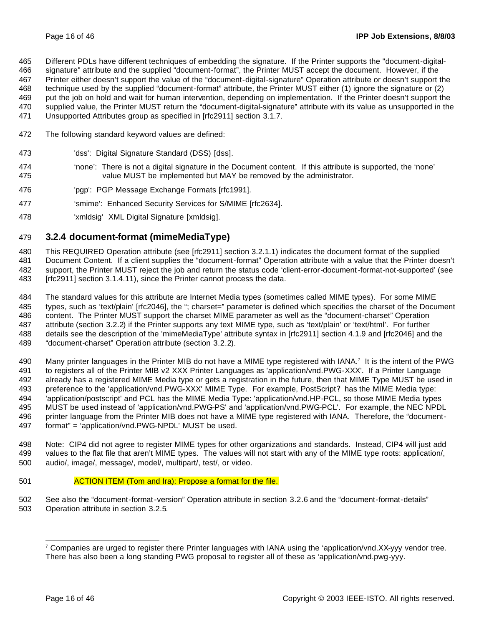Different PDLs have different techniques of embedding the signature. If the Printer supports the "document-digital-

signature" attribute and the supplied "document-format", the Printer MUST accept the document. However, if the

 Printer either doesn't support the value of the "document-digital-signature" Operation attribute or doesn't support the technique used by the supplied "document-format" attribute, the Printer MUST either (1) ignore the signature or (2)

- put the job on hold and wait for human intervention, depending on implementation. If the Printer doesn't support the
- supplied value, the Printer MUST return the "document-digital-signature" attribute with its value as unsupported in the
- Unsupported Attributes group as specified in [rfc2911] section 3.1.7.
- The following standard keyword values are defined:
- 'dss': Digital Signature Standard (DSS) [dss].
- 'none': There is not a digital signature in the Document content. If this attribute is supported, the 'none' value MUST be implemented but MAY be removed by the administrator.
- 'pgp': PGP Message Exchange Formats [rfc1991].
- 477 'smime': Enhanced Security Services for S/MIME [rfc2634].
- 'xmldsig' XML Digital Signature [xmldsig].

# **3.2.4 document-format (mimeMediaType)**

 This REQUIRED Operation attribute (see [rfc2911] section 3.2.1.1) indicates the document format of the supplied Document Content. If a client supplies the "document-format" Operation attribute with a value that the Printer doesn't support, the Printer MUST reject the job and return the status code 'client-error-document-format-not-supported' (see [rfc2911] section 3.1.4.11), since the Printer cannot process the data.

 The standard values for this attribute are Internet Media types (sometimes called MIME types). For some MIME types, such as 'text/plain' [rfc2046], the "; charset=" parameter is defined which specifies the charset of the Document content. The Printer MUST support the charset MIME parameter as well as the "document-charset" Operation attribute (section 3.2.2) if the Printer supports any text MIME type, such as 'text/plain' or 'text/html'. For further details see the description of the 'mimeMediaType' attribute syntax in [rfc2911] section 4.1.9 and [rfc2046] and the "document-charset" Operation attribute (section 3.2.2).

490 Many printer languages in the Printer MIB do not have a MIME type registered with IANA.<sup>7</sup> It is the intent of the PWG to registers all of the Printer MIB v2 XXX Printer Languages as 'application/vnd.PWG-XXX'. If a Printer Language already has a registered MIME Media type or gets a registration in the future, then that MIME Type MUST be used in preference to the 'application/vnd.PWG-XXX' MIME Type. For example, PostScript? has the MIME Media type: 'application/postscript' and PCL has the MIME Media Type: 'application/vnd.HP-PCL, so those MIME Media types MUST be used instead of 'application/vnd.PWG-PS' and 'application/vnd.PWG-PCL'. For example, the NEC NPDL printer language from the Printer MIB does not have a MIME type registered with IANA. Therefore, the "document-format" = 'application/vnd.PWG-NPDL' MUST be used.

 Note: CIP4 did not agree to register MIME types for other organizations and standards. Instead, CIP4 will just add values to the flat file that aren't MIME types. The values will not start with any of the MIME type roots: application/, audio/, image/, message/, model/, multipart/, test/, or video.

ACTION ITEM (Tom and Ira): Propose a format for the file.

 See also the "document-format-version" Operation attribute in section 3.2.6 and the "document-format-details" Operation attribute in section 3.2.5.

 Companies are urged to register there Printer languages with IANA using the 'application/vnd.XX-yyy vendor tree. There has also been a long standing PWG proposal to register all of these as 'application/vnd.pwg-yyy.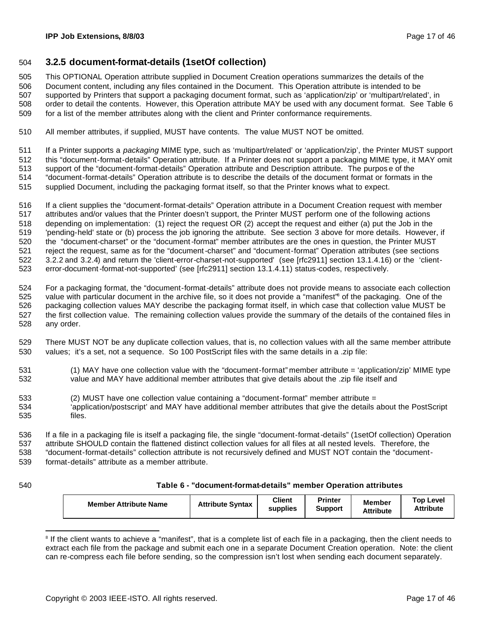### **3.2.5 document-format-details (1setOf collection)**

This OPTIONAL Operation attribute supplied in Document Creation operations summarizes the details of the

Document content, including any files contained in the Document. This Operation attribute is intended to be

 supported by Printers that support a packaging document format, such as 'application/zip' or 'multipart/related', in order to detail the contents. However, this Operation attribute MAY be used with any document format. See Table 6 for a list of the member attributes along with the client and Printer conformance requirements.

All member attributes, if supplied, MUST have contents. The value MUST NOT be omitted.

 If a Printer supports a *packaging* MIME type, such as 'multipart/related' or 'application/zip', the Printer MUST support this "document-format-details" Operation attribute. If a Printer does not support a packaging MIME type, it MAY omit support of the "document-format-details" Operation attribute and Description attribute. The purpos e of the "document-format-details" Operation attribute is to describe the details of the document format or formats in the

supplied Document, including the packaging format itself, so that the Printer knows what to expect.

 If a client supplies the "document-format-details" Operation attribute in a Document Creation request with member attributes and/or values that the Printer doesn't support, the Printer MUST perform one of the following actions depending on implementation: (1) reject the request OR (2) accept the request and either (a) put the Job in the 'pending-held' state or (b) process the job ignoring the attribute. See section 3 above for more details. However, if the "document-charset" or the "document-format" member attributes are the ones in question, the Printer MUST reject the request, same as for the "document-charset" and "document-format" Operation attributes (see sections 3.2.2 and 3.2.4) and return the 'client-error-charset-not-supported' (see [rfc2911] section 13.1.4.16) or the 'client-error-document-format-not-supported' (see [rfc2911] section 13.1.4.11) status-codes, respectively.

 For a packaging format, the "document-format-details" attribute does not provide means to associate each collection 525 value with particular document in the archive file, so it does not provide a "manifest" $\frac{1}{8}$  of the packaging. One of the packaging collection values MAY describe the packaging format itself, in which case that collection value MUST be the first collection value. The remaining collection values provide the summary of the details of the contained files in any order.

 There MUST NOT be any duplicate collection values, that is, no collection values with all the same member attribute values; it's a set, not a sequence. So 100 PostScript files with the same details in a .zip file:

- (1) MAY have one collection value with the "document-format" member attribute = 'application/zip' MIME type value and MAY have additional member attributes that give details about the .zip file itself and
- (2) MUST have one collection value containing a "document-format" member attribute =
- 'application/postscript' and MAY have additional member attributes that give the details about the PostScript files.

 If a file in a packaging file is itself a packaging file, the single "document-format-details" (1setOf collection) Operation attribute SHOULD contain the flattened distinct collection values for all files at all nested levels. Therefore, the "document-format-details" collection attribute is not recursively defined and MUST NOT contain the "document-format-details" attribute as a member attribute.

#### **Table 6 - "document-format-details" member Operation attributes**

<sup>&</sup>lt;sup>8</sup> If the client wants to achieve a "manifest", that is a complete list of each file in a packaging, then the client needs to extract each file from the package and submit each one in a separate Document Creation operation. Note: the client can re-compress each file before sending, so the compression isn't lost when sending each document separately.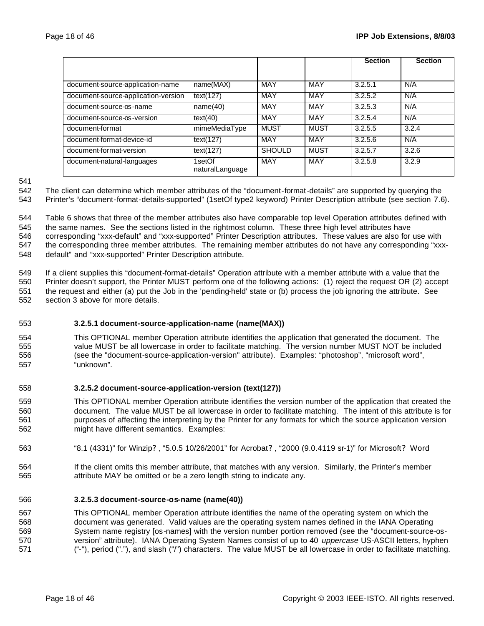|                                     |                           |               |             | <b>Section</b> | <b>Section</b> |
|-------------------------------------|---------------------------|---------------|-------------|----------------|----------------|
|                                     |                           |               |             |                |                |
| document-source-application-name    | name(MAX)                 | MAY           | MAY         | 3.2.5.1        | N/A            |
| document-source-application-version | text(127)                 | <b>MAY</b>    | <b>MAY</b>  | 3.2.5.2        | N/A            |
| document-source-os-name             | name(40)                  | <b>MAY</b>    | <b>MAY</b>  | 3.2.5.3        | N/A            |
| document-source-os-version          | text(40)                  | MAY           | <b>MAY</b>  | 3.2.5.4        | N/A            |
| document-format                     | mimeMediaType             | <b>MUST</b>   | <b>MUST</b> | 3.2.5.5        | 3.2.4          |
| document-format-device-id           | text(127)                 | MAY           | MAY         | 3.2.5.6        | N/A            |
| document-format-version             | text(127)                 | <b>SHOULD</b> | <b>MUST</b> | 3.2.5.7        | 3.2.6          |
| document-natural-languages          | 1setOf<br>naturalLanguage | MAY           | <b>MAY</b>  | 3.2.5.8        | 3.2.9          |

 The client can determine which member attributes of the "document-format-details" are supported by querying the Printer's "document-format-details-supported" (1setOf type2 keyword) Printer Description attribute (see section 7.6).

 Table 6 shows that three of the member attributes also have comparable top level Operation attributes defined with the same names. See the sections listed in the rightmost column. These three high level attributes have corresponding "xxx-default" and "xxx-supported" Printer Description attributes. These values are also for use with the corresponding three member attributes. The remaining member attributes do not have any corresponding "xxx-default" and "xxx-supported" Printer Description attribute.

 If a client supplies this "document-format-details" Operation attribute with a member attribute with a value that the Printer doesn't support, the Printer MUST perform one of the following actions: (1) reject the request OR (2) accept the request and either (a) put the Job in the 'pending-held' state or (b) process the job ignoring the attribute. See section 3 above for more details.

### **3.2.5.1 document-source-application-name (name(MAX))**

 This OPTIONAL member Operation attribute identifies the application that generated the document. The value MUST be all lowercase in order to facilitate matching. The version number MUST NOT be included (see the "document-source-application-version" attribute). Examples: "photoshop", "microsoft word", "unknown".

#### **3.2.5.2 document-source-application-version (text(127))**

- This OPTIONAL member Operation attribute identifies the version number of the application that created the document. The value MUST be all lowercase in order to facilitate matching. The intent of this attribute is for purposes of affecting the interpreting by the Printer for any formats for which the source application version might have different semantics. Examples:
- "8.1 (4331)" for Winzip? , "5.0.5 10/26/2001" for Acrobat? , "2000 (9.0.4119 sr-1)" for Microsoft? Word
- If the client omits this member attribute, that matches with any version. Similarly, the Printer's member attribute MAY be omitted or be a zero length string to indicate any.

#### **3.2.5.3 document-source-os-name (name(40))**

 This OPTIONAL member Operation attribute identifies the name of the operating system on which the document was generated. Valid values are the operating system names defined in the IANA Operating System name registry [os-names] with the version number portion removed (see the "document-source-os- version" attribute). IANA Operating System Names consist of up to 40 *uppercase* US-ASCII letters, hyphen ("-"), period ("."), and slash ("/") characters. The value MUST be all lowercase in order to facilitate matching.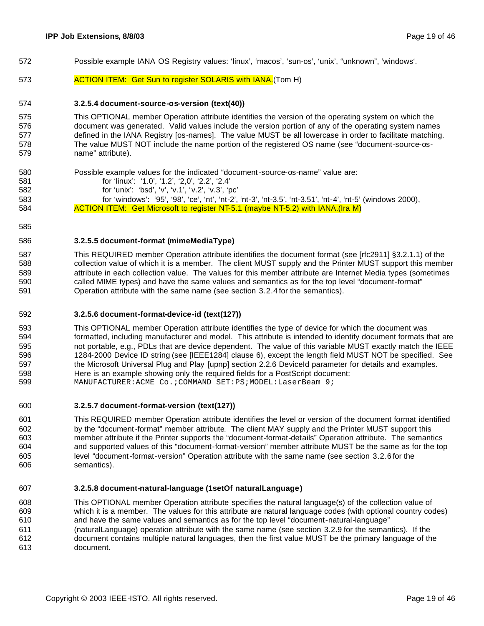- Possible example IANA OS Registry values: 'linux', 'macos', 'sun-os', 'unix', "unknown", 'windows'.
- **ACTION ITEM:** Get Sun to register SOLARIS with IANA. (Tom H)

#### **3.2.5.4 document-source-os-version (text(40))**

#### This OPTIONAL member Operation attribute identifies the version of the operating system on which the document was generated. Valid values include the version portion of any of the operating system names defined in the IANA Registry [os-names]. The value MUST be all lowercase in order to facilitate matching. The value MUST NOT include the name portion of the registered OS name (see "document-source-os-name" attribute).

- Possible example values for the indicated "document-source-os-name" value are: for 'linux': '1.0', '1.2', '2,0', '2.2', '2.4' for 'unix': 'bsd', 'v', 'v.1', 'v.2', 'v.3', 'pc' for 'windows': '95', '98', 'ce', 'nt', 'nt-2', 'nt-3', 'nt-3.5', 'nt-3.51', 'nt-4', 'nt-5' (windows 2000), **ACTION ITEM:** Get Microsoft to register NT-5.1 (maybe NT-5.2) with IANA.(Ira M)
- 

#### **3.2.5.5 document-format (mimeMediaType)**

 This REQUIRED member Operation attribute identifies the document format (see [rfc2911] §3.2.1.1) of the 588 collection value of which it is a member. The client MUST supply and the Printer MUST support this member attribute in each collection value. The values for this member attribute are Internet Media types (sometimes called MIME types) and have the same values and semantics as for the top level "document-format" Operation attribute with the same name (see section 3.2.4 for the semantics).

#### **3.2.5.6 document-format-device-id (text(127))**

 This OPTIONAL member Operation attribute identifies the type of device for which the document was formatted, including manufacturer and model. This attribute is intended to identify document formats that are not portable, e.g., PDLs that are device dependent. The value of this variable MUST exactly match the IEEE 1284-2000 Device ID string (see [IEEE1284] clause 6), except the length field MUST NOT be specified. See the Microsoft Universal Plug and Play [upnp] section 2.2.6 DeviceId parameter for details and examples. Here is an example showing only the required fields for a PostScript document: 599 MANUFACTURER:ACME Co.; COMMAND SET:PS; MODEL: LaserBeam 9;

#### **3.2.5.7 document-format-version (text(127))**

 This REQUIRED member Operation attribute identifies the level or version of the document format identified by the "document-format" member attribute. The client MAY supply and the Printer MUST support this member attribute if the Printer supports the "document-format-details" Operation attribute. The semantics and supported values of this "document-format-version" member attribute MUST be the same as for the top level "document-format-version" Operation attribute with the same name (see section 3.2.6 for the semantics).

#### **3.2.5.8 document-natural-language (1setOf naturalLanguage)**

 This OPTIONAL member Operation attribute specifies the natural language(s) of the collection value of which it is a member. The values for this attribute are natural language codes (with optional country codes) and have the same values and semantics as for the top level "document-natural-language" (naturalLanguage) operation attribute with the same name (see section 3.2.9 for the semantics). If the document contains multiple natural languages, then the first value MUST be the primary language of the document.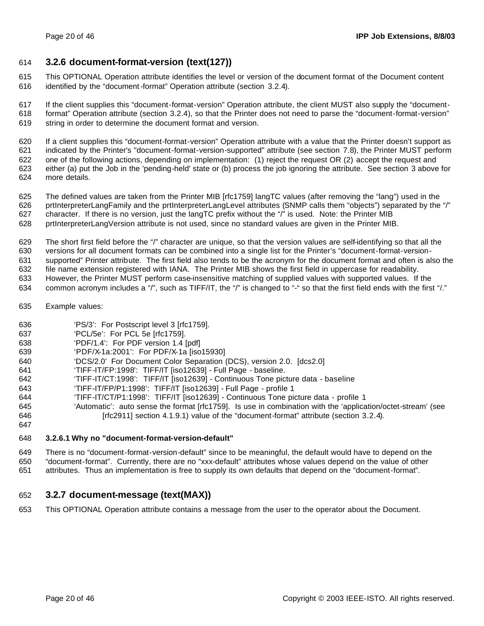### **3.2.6 document-format-version (text(127))**

 This OPTIONAL Operation attribute identifies the level or version of the document format of the Document content identified by the "document-format" Operation attribute (section 3.2.4).

 If the client supplies this "document-format-version" Operation attribute, the client MUST also supply the "document- format" Operation attribute (section 3.2.4), so that the Printer does not need to parse the "document-format-version" string in order to determine the document format and version.

 If a client supplies this "document-format-version" Operation attribute with a value that the Printer doesn't support as indicated by the Printer's "document-format-version-supported" attribute (see section 7.8), the Printer MUST perform one of the following actions, depending on implementation: (1) reject the request OR (2) accept the request and either (a) put the Job in the 'pending-held' state or (b) process the job ignoring the attribute. See section 3 above for more details.

- The defined values are taken from the Printer MIB [rfc1759] langTC values (after removing the "lang") used in the prtInterpreterLangFamily and the prtInterpreterLangLevel attributes (SNMP calls them "objects") separated by the "/" character. If there is no version, just the langTC prefix without the "/" is used. Note: the Printer MIB prtInterpreterLangVersion attribute is not used, since no standard values are given in the Printer MIB.
- 
- The short first field before the "/" character are unique, so that the version values are self-identifying so that all the versions for all document formats can be combined into a single list for the Printer's "document-format-version-
- supported" Printer attribute. The first field also tends to be the acronym for the document format and often is also the
- file name extension registered with IANA. The Printer MIB shows the first field in uppercase for readability.
- However, the Printer MUST perform case-insensitive matching of supplied values with supported values. If the
- 634 common acronym includes a "/", such as TIFF/IT, the "/" is changed to "-" so that the first field ends with the first "/."
- Example values:
- 'PS/3': For Postscript level 3 [rfc1759].
- 'PCL/5e': For PCL 5e [rfc1759].
- 'PDF/1.4': For PDF version 1.4 [pdf]
- 'PDF/X-1a:2001': For PDF/X-1a [iso15930]
- 'DCS/2.0' For Document Color Separation (DCS), version 2.0. [dcs2.0]
- 'TIFF-IT/FP:1998': TIFF/IT [iso12639] Full Page baseline.
- 'TIFF-IT/CT:1998': TIFF/IT [iso12639] Continuous Tone picture data baseline
- 'TIFF-IT/FP/P1:1998': TIFF/IT [iso12639] Full Page profile 1
- 'TIFF-IT/CT/P1:1998': TIFF/IT [iso12639] Continuous Tone picture data profile 1
- 'Automatic': auto sense the format [rfc1759]. Is use in combination with the 'application/octet-stream' (see **Infectual Trical Example 3.1.9.1** (Freedwidth 1.9.1) value of the "document-format" attribute (section 3.2.4).
- 

#### **3.2.6.1 Why no "document-format-version-default"**

 There is no "document-format-version-default" since to be meaningful, the default would have to depend on the "document-format". Currently, there are no "xxx-default" attributes whose values depend on the value of other

attributes. Thus an implementation is free to supply its own defaults that depend on the "document-format".

### **3.2.7 document-message (text(MAX))**

This OPTIONAL Operation attribute contains a message from the user to the operator about the Document.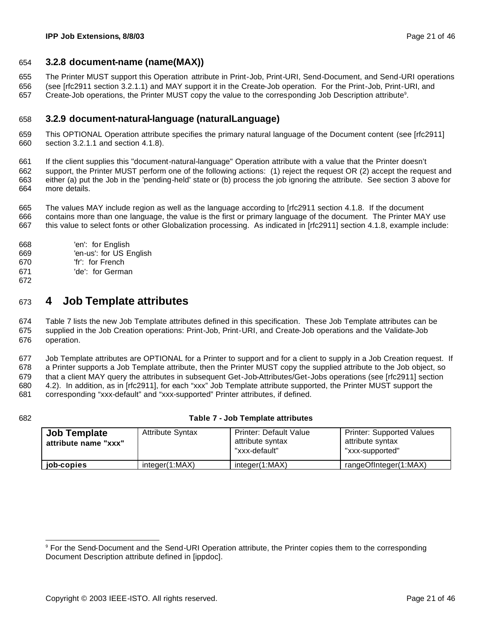### **3.2.8 document-name (name(MAX))**

The Printer MUST support this Operation attribute in Print-Job, Print-URI, Send-Document, and Send-URI operations

(see [rfc2911 section 3.2.1.1) and MAY support it in the Create-Job operation. For the Print-Job, Print-URI, and

657 Create-Job operations, the Printer MUST copy the value to the corresponding Job Description attribute<sup>9</sup>.

### **3.2.9 document-natural-language (naturalLanguage)**

 This OPTIONAL Operation attribute specifies the primary natural language of the Document content (see [rfc2911] section 3.2.1.1 and section 4.1.8).

 If the client supplies this "document-natural-language" Operation attribute with a value that the Printer doesn't support, the Printer MUST perform one of the following actions: (1) reject the request OR (2) accept the request and either (a) put the Job in the 'pending-held' state or (b) process the job ignoring the attribute. See section 3 above for more details.

 The values MAY include region as well as the language according to [rfc2911 section 4.1.8. If the document contains more than one language, the value is the first or primary language of the document. The Printer MAY use this value to select fonts or other Globalization processing. As indicated in [rfc2911] section 4.1.8, example include:

- 'en': for English
- 'en-us': for US English
- 'fr': for French
- 'de': for German
- 

# **4 Job Template attributes**

 Table 7 lists the new Job Template attributes defined in this specification. These Job Template attributes can be supplied in the Job Creation operations: Print-Job, Print-URI, and Create-Job operations and the Validate-Job operation.

 Job Template attributes are OPTIONAL for a Printer to support and for a client to supply in a Job Creation request. If a Printer supports a Job Template attribute, then the Printer MUST copy the supplied attribute to the Job object, so that a client MAY query the attributes in subsequent Get-Job-Attributes/Get-Jobs operations (see [rfc2911] section 4.2). In addition, as in [rfc2911], for each "xxx" Job Template attribute supported, the Printer MUST support the corresponding "xxx-default" and "xxx-supported" Printer attributes, if defined.

#### **Table 7 - Job Template attributes**

| <b>Job Template</b><br>attribute name "xxx" | <b>Attribute Syntax</b> | <b>Printer: Default Value</b><br>attribute syntax<br>"xxx-default" | <b>Printer: Supported Values</b><br>attribute syntax<br>"xxx-supported" |
|---------------------------------------------|-------------------------|--------------------------------------------------------------------|-------------------------------------------------------------------------|
| job-copies                                  | integer(1:MAX)          | integer(1:MAX)                                                     | rangeOfInteger(1:MAX)                                                   |

 For the Send-Document and the Send-URI Operation attribute, the Printer copies them to the corresponding Document Description attribute defined in [ippdoc].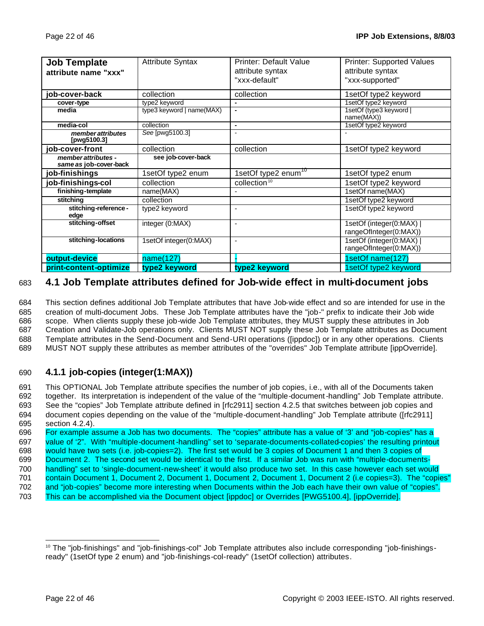| <b>Job Template</b>                           | <b>Attribute Syntax</b>   | <b>Printer: Default Value</b>   | <b>Printer: Supported Values</b>                   |
|-----------------------------------------------|---------------------------|---------------------------------|----------------------------------------------------|
| attribute name "xxx"                          |                           | attribute syntax                | attribute syntax                                   |
|                                               |                           | "xxx-default"                   | "xxx-supported"                                    |
| job-cover-back                                | collection                | collection                      | 1setOf type2 keyword                               |
| cover-type                                    | type2 keyword             | $\overline{a}$                  | 1setOf type2 keyword                               |
| media                                         | type3 keyword   name(MAX) |                                 | 1setOf (type3 keyword  <br>name(MAX))              |
| media-col                                     | collection                | $\blacksquare$                  | 1setOf type2 keyword                               |
| member attributes<br>[pwg5100.3]              | See [pwg5100.3]           | $\blacksquare$                  |                                                    |
| job-cover-front                               | collection                | collection                      | 1setOf type2 keyword                               |
| member attributes -<br>same as job-cover-back | see job-cover-back        |                                 |                                                    |
| job-finishings                                | 1setOf type2 enum         | 1setOf type2 enum <sup>10</sup> | 1setOf type2 enum                                  |
| job-finishings-col                            | collection                | collection <sup>10</sup>        | 1setOf type2 keyword                               |
| finishing-template                            | name(MAX)                 |                                 | 1setOf name(MAX)                                   |
| stitching                                     | collection                |                                 | 1setOf type2 keyword                               |
| stitching-reference-<br>edge                  | type2 keyword             | $\blacksquare$                  | 1setOf type2 keyword                               |
| stitching-offset                              | integer (0:MAX)           | $\blacksquare$                  | 1setOf (integer(0:MAX)  <br>rangeOfInteger(0:MAX)) |
| stitching-locations                           | 1setOf integer(0:MAX)     | $\sim$                          | 1setOf (integer(0:MAX)<br>rangeOfInteger(0:MAX))   |
| output-device                                 | name(127)                 |                                 | 1setOf name(127)                                   |
| print-content-optimize                        | type2 keyword             | type2 keyword                   | 1setOf type2 keyword                               |

### 683 **4.1 Job Template attributes defined for Job-wide effect in multi-document jobs**

 This section defines additional Job Template attributes that have Job-wide effect and so are intended for use in the creation of multi-document Jobs. These Job Template attributes have the "job-" prefix to indicate their Job wide scope. When clients supply these job-wide Job Template attributes, they MUST supply these attributes in Job Creation and Validate-Job operations only. Clients MUST NOT supply these Job Template attributes as Document Template attributes in the Send-Document and Send-URI operations ([ippdoc]) or in any other operations. Clients MUST NOT supply these attributes as member attributes of the "overrides" Job Template attribute [ippOverride].

### 690 **4.1.1 job-copies (integer(1:MAX))**

 This OPTIONAL Job Template attribute specifies the number of job copies, i.e., with all of the Documents taken together. Its interpretation is independent of the value of the "multiple-document-handling" Job Template attribute. See the "copies" Job Template attribute defined in [rfc2911] section 4.2.5 that switches between job copies and document copies depending on the value of the "multiple-document-handling" Job Template attribute ([rfc2911] section 4.2.4).

 For example assume a Job has two documents. The "copies" attribute has a value of '3' and "job-copies" has a value of '2". With "multiple-document-handling" set to 'separate-documents-collated-copies' the resulting printout would have two sets (i.e. job-copies=2). The first set would be 3 copies of Document 1 and then 3 copies of Document 2. The second set would be identical to the first. If a similar Job was run with "multiple-documents- handling" set to 'single-document-new-sheet' it would also produce two set. In this case however each set would 701 contain Document 1, Document 2, Document 1, Document 2, Document 1, Document 2 (i.e copies=3). The "copies" and "job-copies" become more interesting when Documents within the Job each have their own value of "copies". This can be accomplished via the Document object [ippdoc] or Overrides [PWG5100.4], [ippOverride].

<sup>&</sup>lt;sup>10</sup> The "job-finishings" and "job-finishings-col" Job Template attributes also include corresponding "job-finishingsready" (1setOf type 2 enum) and "job-finishings-col-ready" (1setOf collection) attributes.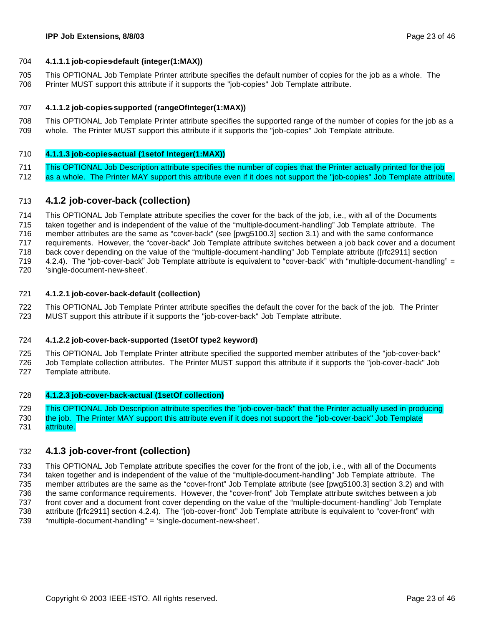#### **4.1.1.1 job-copies-default (integer(1:MAX))**

 This OPTIONAL Job Template Printer attribute specifies the default number of copies for the job as a whole. The Printer MUST support this attribute if it supports the "job-copies" Job Template attribute.

#### **4.1.1.2 job-copies-supported (rangeOfInteger(1:MAX))**

 This OPTIONAL Job Template Printer attribute specifies the supported range of the number of copies for the job as a whole. The Printer MUST support this attribute if it supports the "job-copies" Job Template attribute.

#### **4.1.1.3 job-copies-actual (1setof Integer(1:MAX))**

- This OPTIONAL Job Description attribute specifies the number of copies that the Printer actually printed for the job
- as a whole. The Printer MAY support this attribute even if it does not support the "job-copies" Job Template attribute.

### **4.1.2 job-cover-back (collection)**

 This OPTIONAL Job Template attribute specifies the cover for the back of the job, i.e., with all of the Documents taken together and is independent of the value of the "multiple-document-handling" Job Template attribute. The member attributes are the same as "cover-back" (see [pwg5100.3] section 3.1) and with the same conformance requirements. However, the "cover-back" Job Template attribute switches between a job back cover and a document back cove r depending on the value of the "multiple-document-handling" Job Template attribute ([rfc2911] section 4.2.4). The "job-cover-back" Job Template attribute is equivalent to "cover-back" with "multiple-document-handling" =

'single-document-new-sheet'.

#### **4.1.2.1 job-cover-back-default (collection)**

 This OPTIONAL Job Template Printer attribute specifies the default the cover for the back of the job. The Printer MUST support this attribute if it supports the "job-cover-back" Job Template attribute.

#### **4.1.2.2 job-cover-back-supported (1setOf type2 keyword)**

 This OPTIONAL Job Template Printer attribute specified the supported member attributes of the "job-cover-back" Job Template collection attributes. The Printer MUST support this attribute if it supports the "job-cover-back" Job Template attribute.

#### **4.1.2.3 job-cover-back-actual (1setOf collection)**

 This OPTIONAL Job Description attribute specifies the "job-cover-back" that the Printer actually used in producing the job. The Printer MAY support this attribute even if it does not support the "job-cover-back" Job Template

731 attribute.

### **4.1.3 job-cover-front (collection)**

 This OPTIONAL Job Template attribute specifies the cover for the front of the job, i.e., with all of the Documents taken together and is independent of the value of the "multiple-document-handling" Job Template attribute. The member attributes are the same as the "cover-front" Job Template attribute (see [pwg5100.3] section 3.2) and with the same conformance requirements. However, the "cover-front" Job Template attribute switches between a job front cover and a document front cover depending on the value of the "multiple-document-handling" Job Template attribute ([rfc2911] section 4.2.4). The "job-cover-front" Job Template attribute is equivalent to "cover-front" with "multiple-document-handling" = 'single-document-new-sheet'.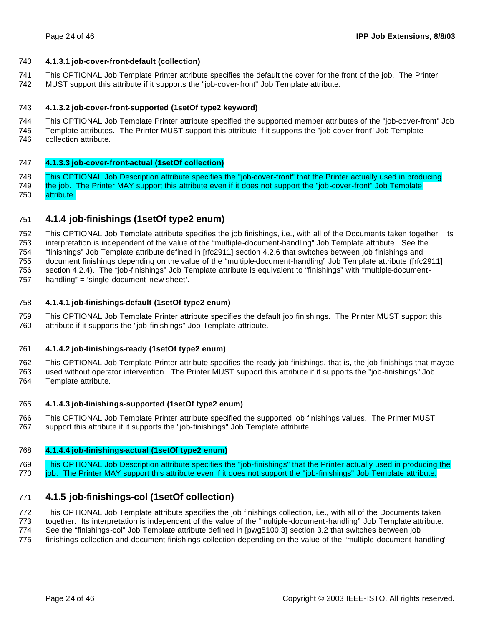#### **4.1.3.1 job-cover-front-default (collection)**

 This OPTIONAL Job Template Printer attribute specifies the default the cover for the front of the job. The Printer MUST support this attribute if it supports the "job-cover-front" Job Template attribute.

#### **4.1.3.2 job-cover-front-supported (1setOf type2 keyword)**

 This OPTIONAL Job Template Printer attribute specified the supported member attributes of the "job-cover-front" Job Template attributes. The Printer MUST support this attribute if it supports the "job-cover-front" Job Template collection attribute.

#### **4.1.3.3 job-cover-front-actual (1setOf collection)**

 This OPTIONAL Job Description attribute specifies the "job-cover-front" that the Printer actually used in producing the job. The Printer MAY support this attribute even if it does not support the "job-cover-front" Job Template attribute.

### **4.1.4 job-finishings (1setOf type2 enum)**

 This OPTIONAL Job Template attribute specifies the job finishings, i.e., with all of the Documents taken together. Its interpretation is independent of the value of the "multiple-document-handling" Job Template attribute. See the "finishings" Job Template attribute defined in [rfc2911] section 4.2.6 that switches between job finishings and document finishings depending on the value of the "multiple-document-handling" Job Template attribute ([rfc2911] section 4.2.4). The "job-finishings" Job Template attribute is equivalent to "finishings" with "multiple-document-handling" = 'single-document-new-sheet'.

#### **4.1.4.1 job-finishings-default (1setOf type2 enum)**

 This OPTIONAL Job Template Printer attribute specifies the default job finishings. The Printer MUST support this attribute if it supports the "job-finishings" Job Template attribute.

#### **4.1.4.2 job-finishings-ready (1setOf type2 enum)**

 This OPTIONAL Job Template Printer attribute specifies the ready job finishings, that is, the job finishings that maybe used without operator intervention. The Printer MUST support this attribute if it supports the "job-finishings" Job Template attribute.

#### **4.1.4.3 job-finishings-supported (1setOf type2 enum)**

 This OPTIONAL Job Template Printer attribute specified the supported job finishings values. The Printer MUST support this attribute if it supports the "job-finishings" Job Template attribute.

#### **4.1.4.4 job-finishings-actual (1setOf type2 enum)**

 This OPTIONAL Job Description attribute specifies the "job-finishings" that the Printer actually used in producing the job. The Printer MAY support this attribute even if it does not support the "job-finishings" Job Template attribute.

### **4.1.5 job-finishings-col (1setOf collection)**

This OPTIONAL Job Template attribute specifies the job finishings collection, i.e., with all of the Documents taken

together. Its interpretation is independent of the value of the "multiple-document-handling" Job Template attribute.

See the "finishings-col" Job Template attribute defined in [pwg5100.3] section 3.2 that switches between job

finishings collection and document finishings collection depending on the value of the "multiple-document-handling"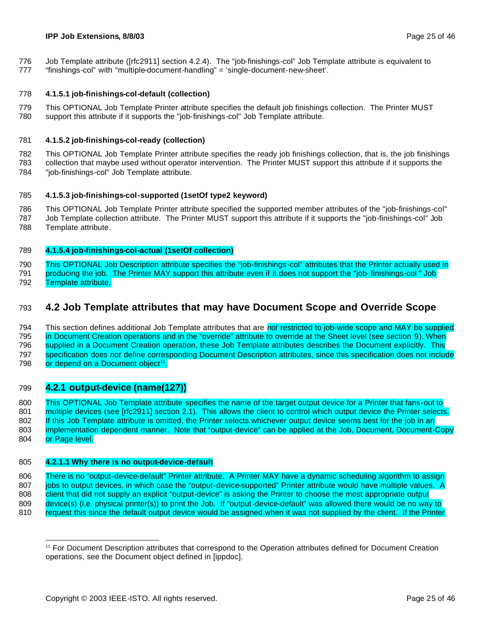#### **IPP Job Extensions, 8/8/03** Page 25 of 46

- Job Template attribute ([rfc2911] section 4.2.4). The "job-finishings-col" Job Template attribute is equivalent to
- "finishings-col" with "multiple-document-handling" = 'single-document-new-sheet'.

#### **4.1.5.1 job-finishings-col-default (collection)**

 This OPTIONAL Job Template Printer attribute specifies the default job finishings collection. The Printer MUST support this attribute if it supports the "job-finishings-col" Job Template attribute.

#### **4.1.5.2 job-finishings-col-ready (collection)**

 This OPTIONAL Job Template Printer attribute specifies the ready job finishings collection, that is, the job finishings collection that maybe used without operator intervention. The Printer MUST support this attribute if it supports the

"job-finishings-col" Job Template attribute.

#### **4.1.5.3 job-finishings-col-supported (1setOf type2 keyword)**

 This OPTIONAL Job Template Printer attribute specified the supported member attributes of the "job-finishings-col" Job Template collection attribute. The Printer MUST support this attribute if it supports the "job-finishings-col" Job

Template attribute.

#### **4.1.5.4 job-finishings-col-actual (1setOf collection)**

 This OPTIONAL Job Description attribute specifies the "job-finishings -col" attributes that the Printer actually used in 791 producing the job. The Printer MAY support this attribute even if it does not support the "job- finishings-col " Job Template attribute.

### **4.2 Job Template attributes that may have Document Scope and Override Scope**

 This section defines additional Job Template attributes that are *not* restricted to job-wide scope and MAY be supplied in Document Creation operations and in the "override" attribute to override at the Sheet level (see section 9). When supplied in a Document Creation operation, these Job Template attributes describes the Document explicitly. This specification does *not* define corresponding Document Description attributes, since this specification does not include 798 or depend on a Document object<sup>11</sup>.

### **4.2.1 output-device (name(127))**

 This OPTIONAL Job Template attribute specifies the name of the target output device for a Printer that fans-out to 801 multiple devices (see [rfc2911] section 2.1). This allows the client to control which output device the Printer selects. 802 If this Job Template attribute is omitted, the Printer selects whichever output device seems best for the job in an implementation dependent manner. Note that "output-device" can be applied at the Job, Document, Document-Copy 804 or Page level.

### **4.2.1.1 Why there is no output-device-default**

806 There is no "output-device-default" Printer attribute. A Printer MAY have a dynamic scheduling algorithm to assign 807 jobs to output devices, in which case the "output-device-supported" Printer attribute would have multiple values. A 808 client that did not supply an explicit "output-device" is asking the Printer to choose the most appropriate output device(s) (i.e. physical printer(s)) to print the Job. If "output-device-default" was allowed there would be no way to 810 request this since the default output device would be assigned when it was not supplied by the client. If the Printer

 For Document Description attributes that correspond to the Operation attributes defined for Document Creation operations, see the Document object defined in [ippdoc].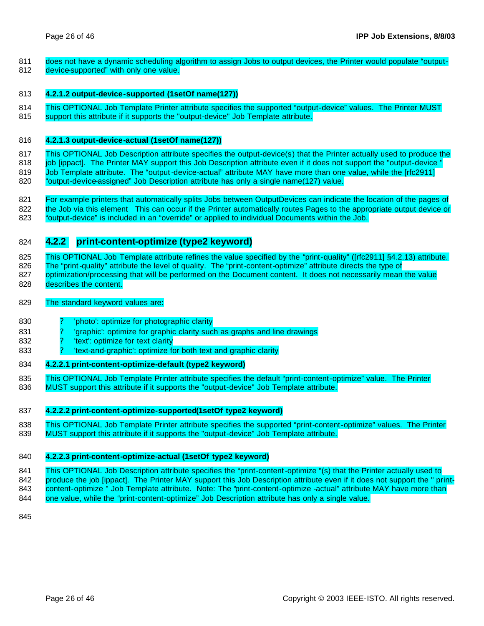- 811 does not have a dynamic scheduling algorithm to assign Jobs to output devices, the Printer would populate "output-
- 812 device-supported" with only one value.

#### 813 **4.2.1.2 output-device-supported (1setOf name(127))**

- 814 This OPTIONAL Job Template Printer attribute specifies the supported "output-device" values. The Printer MUST
- 815 support this attribute if it supports the "output-device" Job Template attribute.

#### 816 **4.2.1.3 output-device-actual (1setOf name(127))**

817 This OPTIONAL Job Description attribute specifies the output-device(s) that the Printer actually used to produce the 818 job [ippact]. The Printer MAY support this Job Description attribute even if it does not support the "output-device " 819 Job Template attribute. The "output-device-actual" attribute MAY have more than one value, while the [rfc2911] 820 "output-device-assigned" Job Description attribute has only a single name(127) value.

821 For example printers that automatically splits Jobs between OutputDevices can indicate the location of the pages of 822 the Job via this element This can occur if the Printer automatically routes Pages to the appropriate output device or 823 "output-device" is included in an "override" or applied to individual Documents within the Job.

### 824 **4.2.2 print-content-optimize (type2 keyword)**

825 This OPTIONAL Job Template attribute refines the value specified by the "print-quality" ([rfc2911] §4.2.13) attribute. 826 The "print-quality" attribute the level of quality. The "print-content-optimize" attribute directs the type of 827 optimization/processing that will be performed on the Document content. It does not necessarily mean the value

828 describes the content.

#### 829 The standard keyword values are:

- 830 <sup>2</sup> Photo': optimize for photographic clarity
- 831 ? 'graphic': optimize for graphic clarity such as graphs and line drawings
- 832 <sup>2</sup> 'text': optimize for text clarity
- 833 **833** Protext-and-graphic': optimize for both text and graphic clarity

#### 834 **4.2.2.1 print-content-optimize-default (type2 keyword)**

835 This OPTIONAL Job Template Printer attribute specifies the default "print-content-optimize" value. The Printer 836 MUST support this attribute if it supports the "output-device" Job Template attribute.

#### 837 **4.2.2.2 print-content-optimize-supported(1setOf type2 keyword)**

838 This OPTIONAL Job Template Printer attribute specifies the supported "print-content-optimize" values. The Printer 839 MUST support this attribute if it supports the "output-device" Job Template attribute.

#### 840 **4.2.2.3 print-content-optimize-actual (1setOf type2 keyword)**

841 This OPTIONAL Job Description attribute specifies the "print-content-optimize "(s) that the Printer actually used to 842 produce the job [ippact]. The Printer MAY support this Job Description attribute even if it does not support the " print-843 content-optimize " Job Template attribute. Note: The 'print-content-optimize -actual" attribute MAY have more than

844 one value, while the "print-content-optimize" Job Description attribute has only a single value.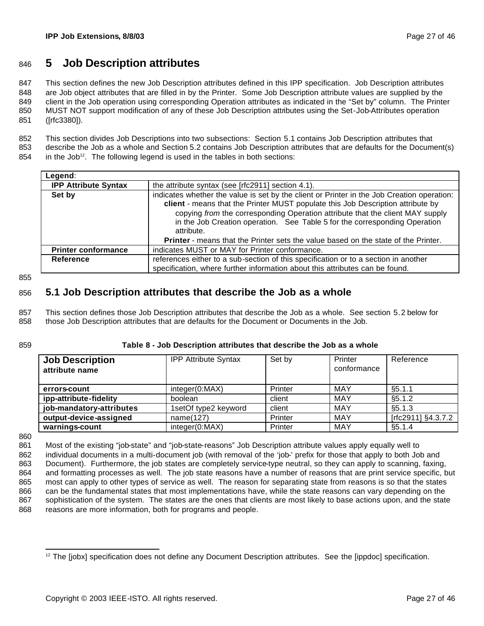# <sup>846</sup> **5 Job Description attributes**

 This section defines the new Job Description attributes defined in this IPP specification. Job Description attributes are Job object attributes that are filled in by the Printer. Some Job Description attribute values are supplied by the client in the Job operation using corresponding Operation attributes as indicated in the "Set by" column. The Printer MUST NOT support modification of any of these Job Description attributes using the Set-Job-Attributes operation ([rfc3380]).

852 This section divides Job Descriptions into two subsections: Section 5.1 contains Job Description attributes that 853 describe the Job as a whole and Section 5.2 contains Job Description attributes that are defaults for the Document(s)

 $854$  in the Job<sup>12</sup>. The following legend is used in the tables in both sections:

| the attribute syntax (see [rfc2911] section 4.1).                                                                                                                                                                                                                                                                                                          |
|------------------------------------------------------------------------------------------------------------------------------------------------------------------------------------------------------------------------------------------------------------------------------------------------------------------------------------------------------------|
| indicates whether the value is set by the client or Printer in the Job Creation operation:<br>client - means that the Printer MUST populate this Job Description attribute by<br>copying from the corresponding Operation attribute that the client MAY supply<br>in the Job Creation operation. See Table 5 for the corresponding Operation<br>attribute. |
| <b>Printer</b> - means that the Printer sets the value based on the state of the Printer.                                                                                                                                                                                                                                                                  |
| indicates MUST or MAY for Printer conformance.                                                                                                                                                                                                                                                                                                             |
| references either to a sub-section of this specification or to a section in another<br>specification, where further information about this attributes can be found.                                                                                                                                                                                        |
|                                                                                                                                                                                                                                                                                                                                                            |

855

### 856 **5.1 Job Description attributes that describe the Job as a whole**

857 This section defines those Job Description attributes that describe the Job as a whole. See section 5.2 below for 858 those Job Description attributes that are defaults for the Document or Documents in the Job.

#### 859 **Table 8 - Job Description attributes that describe the Job as a whole**

| <b>Job Description</b><br>attribute name | <b>IPP Attribute Syntax</b> | Set by  | Printer<br>conformance | Reference          |
|------------------------------------------|-----------------------------|---------|------------------------|--------------------|
| errors-count                             | integer(0:MAX)              | Printer | MAY                    | §5.1.1             |
| ipp-attribute-fidelity                   | boolean                     | client  | MAY                    | §5.1.2             |
| job-mandatory-attributes                 | 1setOf type2 keyword        | client  | MAY                    | §5.1.3             |
| output-device-assigned                   | name(127)                   | Printer | MAY                    | [rfc2911] §4.3.7.2 |
| warnings-count                           | integer(0:MAX)              | Printer | MAY                    | §5.1.4             |

860

 Most of the existing "job-state" and "job-state-reasons" Job Description attribute values apply equally well to 862 individual documents in a multi-document job (with removal of the 'job-' prefix for those that apply to both Job and Document). Furthermore, the job states are completely service-type neutral, so they can apply to scanning, faxing, and formatting processes as well. The job state reasons have a number of reasons that are print service specific, but most can apply to other types of service as well. The reason for separating state from reasons is so that the states can be the fundamental states that most implementations have, while the state reasons can vary depending on the sophistication of the system. The states are the ones that clients are most likely to base actions upon, and the state 868 reasons are more information, both for programs and people.

 <sup>12</sup> The [jobx] specification does not define any Document Description attributes. See the [ippdoc] specification.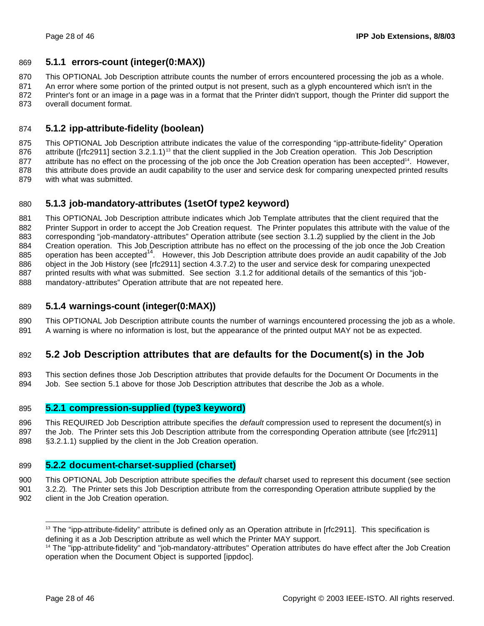### **5.1.1 errors-count (integer(0:MAX))**

This OPTIONAL Job Description attribute counts the number of errors encountered processing the job as a whole.

871 An error where some portion of the printed output is not present, such as a glyph encountered which isn't in the

872 Printer's font or an image in a page was in a format that the Printer didn't support, though the Printer did support the overall document format.

### **5.1.2 ipp-attribute-fidelity (boolean)**

 This OPTIONAL Job Description attribute indicates the value of the corresponding "ipp-attribute-fidelity" Operation 876 attribute ( $[rfc2911]$  section 3.2.1.1)<sup>13</sup> that the client supplied in the Job Creation operation. This Job Description 877 attribute has no effect on the processing of the job once the Job Creation operation has been accepted<sup>14</sup>. However, this attribute does provide an audit capability to the user and service desk for comparing unexpected printed results with what was submitted.

### **5.1.3 job-mandatory-attributes (1setOf type2 keyword)**

 This OPTIONAL Job Description attribute indicates which Job Template attributes that the client required that the Printer Support in order to accept the Job Creation request. The Printer populates this attribute with the value of the corresponding "job-mandatory-attributes" Operation attribute (see section 3.1.2) supplied by the client in the Job 884 Creation operation. This Job Description attribute has no effect on the processing of the job once the Job Creation  $\frac{1}{885}$  operation has been accepted<sup>14</sup>. However, this Job Description attribute does provide an audit capability of the Job object in the Job History (see [rfc2911] section 4.3.7.2) to the user and service desk for comparing unexpected printed results with what was submitted. See section 3.1.2 for additional details of the semantics of this "job-mandatory-attributes" Operation attribute that are not repeated here.

### **5.1.4 warnings-count (integer(0:MAX))**

 This OPTIONAL Job Description attribute counts the number of warnings encountered processing the job as a whole. A warning is where no information is lost, but the appearance of the printed output MAY not be as expected.

### **5.2 Job Description attributes that are defaults for the Document(s) in the Job**

 This section defines those Job Description attributes that provide defaults for the Document Or Documents in the Job. See section 5.1 above for those Job Description attributes that describe the Job as a whole.

### **5.2.1 compression-supplied (type3 keyword)**

 This REQUIRED Job Description attribute specifies the *default* compression used to represent the document(s) in the Job. The Printer sets this Job Description attribute from the corresponding Operation attribute (see [rfc2911] §3.2.1.1) supplied by the client in the Job Creation operation.

### **5.2.2 document-charset-supplied (charset)**

This OPTIONAL Job Description attribute specifies the *default* charset used to represent this document (see section

 3.2.2). The Printer sets this Job Description attribute from the corresponding Operation attribute supplied by the client in the Job Creation operation.

 The "ipp-attribute-fidelity" attribute is defined only as an Operation attribute in [rfc2911]. This specification is defining it as a Job Description attribute as well which the Printer MAY support.

<sup>&</sup>lt;sup>14</sup> The "ipp-attribute-fidelity" and "job-mandatory-attributes" Operation attributes do have effect after the Job Creation operation when the Document Object is supported [ippdoc].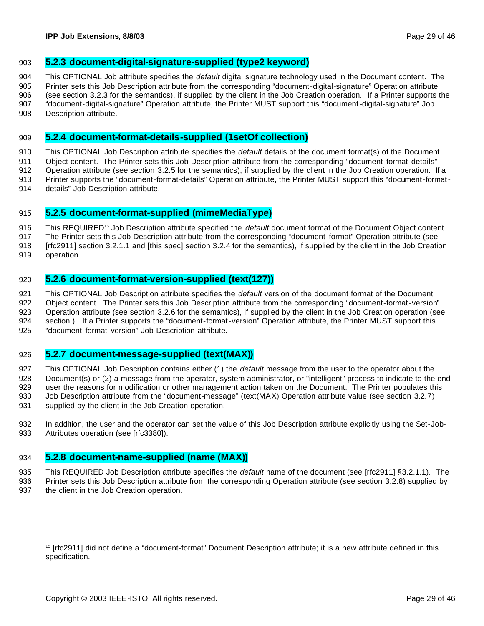#### **5.2.3 document-digital-signature-supplied (type2 keyword)**

This OPTIONAL Job attribute specifies the *default* digital signature technology used in the Document content. The

- Printer sets this Job Description attribute from the corresponding "document-digital-signature" Operation attribute (see section 3.2.3 for the semantics), if supplied by the client in the Job Creation operation. If a Printer supports the "document-digital-signature" Operation attribute, the Printer MUST support this "document-digital-signature" Job
- Description attribute.

### **5.2.4 document-format-details-supplied (1setOf collection)**

 This OPTIONAL Job Description attribute specifies the *default* details of the document format(s) of the Document Object content. The Printer sets this Job Description attribute from the corresponding "document-format-details" Operation attribute (see section 3.2.5 for the semantics), if supplied by the client in the Job Creation operation. If a Printer supports the "document-format-details" Operation attribute, the Printer MUST support this "document-format-

details" Job Description attribute.

### **5.2.5 document-format-supplied (mimeMediaType)**

916 This REQUIRED<sup>15</sup> Job Description attribute specified the *default* document format of the Document Object content.

The Printer sets this Job Description attribute from the corresponding "document-format" Operation attribute (see

[rfc2911] section 3.2.1.1 and [this spec] section 3.2.4 for the semantics), if supplied by the client in the Job Creation

operation.

### **5.2.6 document-format-version-supplied (text(127))**

 This OPTIONAL Job Description attribute specifies the *default* version of the document format of the Document 922 Object content. The Printer sets this Job Description attribute from the corresponding "document-format-version" Operation attribute (see section 3.2.6 for the semantics), if supplied by the client in the Job Creation operation (see section ). If a Printer supports the "document-format-version" Operation attribute, the Printer MUST support this "document-format-version" Job Description attribute.

### **5.2.7 document-message-supplied (text(MAX))**

 This OPTIONAL Job Description contains either (1) the *default* message from the user to the operator about the Document(s) or (2) a message from the operator, system administrator, or "intelligent" process to indicate to the end user the reasons for modification or other management action taken on the Document. The Printer populates this Job Description attribute from the "document-message" (text(MAX) Operation attribute value (see section 3.2.7) 931 supplied by the client in the Job Creation operation.

 In addition, the user and the operator can set the value of this Job Description attribute explicitly using the Set-Job-933 Attributes operation (see [rfc3380]).

### **5.2.8 document-name-supplied (name (MAX))**

 This REQUIRED Job Description attribute specifies the *default* name of the document (see [rfc2911] §3.2.1.1). The Printer sets this Job Description attribute from the corresponding Operation attribute (see section 3.2.8) supplied by 937 the client in the Job Creation operation.

<sup>&</sup>lt;sup>15</sup> [rfc2911] did not define a "document-format" Document Description attribute; it is a new attribute defined in this specification.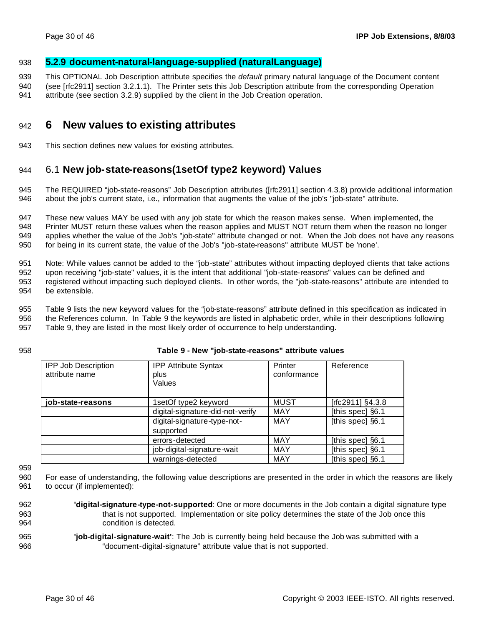### 938 **5.2.9 document-natural-language-supplied (naturalLanguage)**

939 This OPTIONAL Job Description attribute specifies the *default* primary natural language of the Document content

940 (see [rfc2911] section 3.2.1.1). The Printer sets this Job Description attribute from the corresponding Operation

941 attribute (see section 3.2.9) supplied by the client in the Job Creation operation.

# <sup>942</sup> **6 New values to existing attributes**

943 This section defines new values for existing attributes.

## 944 6.1 **New job-state-reasons(1setOf type2 keyword) Values**

945 The REQUIRED "job-state-reasons" Job Description attributes ([rfc2911] section 4.3.8) provide additional information 946 about the job's current state, i.e., information that augments the value of the job's "job-state" attribute.

 These new values MAY be used with any job state for which the reason makes sense. When implemented, the Printer MUST return these values when the reason applies and MUST NOT return them when the reason no longer applies whether the value of the Job's "job-state" attribute changed or not. When the Job does not have any reasons for being in its current state, the value of the Job's "job-state-reasons" attribute MUST be 'none'.

 Note: While values cannot be added to the "job-state" attributes without impacting deployed clients that take actions upon receiving "job-state" values, it is the intent that additional "job-state-reasons" values can be defined and registered without impacting such deployed clients. In other words, the "job-state-reasons" attribute are intended to be extensible.

955 Table 9 lists the new keyword values for the "job-state-reasons" attribute defined in this specification as indicated in 956 the References column. In Table 9 the keywords are listed in alphabetic order, while in their descriptions following

957 Table 9, they are listed in the most likely order of occurrence to help understanding.

#### 958 **Table 9 - New "job-state-reasons" attribute values**

| <b>IPP Job Description</b><br>attribute name | <b>IPP Attribute Syntax</b><br>plus<br>Values | Printer<br>conformance | Reference        |
|----------------------------------------------|-----------------------------------------------|------------------------|------------------|
| job-state-reasons                            | 1setOf type2 keyword                          | <b>MUST</b>            | [rfc2911] §4.3.8 |
|                                              | digital-signature-did-not-verify              | <b>MAY</b>             | [this spec] §6.1 |
|                                              | digital-signature-type-not-<br>supported      | <b>MAY</b>             | [this spec] §6.1 |
|                                              | errors-detected                               | <b>MAY</b>             | [this spec] §6.1 |
|                                              | job-digital-signature-wait                    | <b>MAY</b>             | [this spec] §6.1 |
|                                              | warnings-detected                             | MAY                    | [this spec] §6.1 |

959

960 For ease of understanding, the following value descriptions are presented in the order in which the reasons are likely 961 to occur (if implemented):

- 962 **'digital-signature-type-not-supported**: One or more documents in the Job contain a digital signature type 963 that is not supported. Implementation or site policy determines the state of the Job once this 964 condition is detected.
- 965 **'job-digital-signature-wait'**: The Job is currently being held because the Job was submitted with a 966 "document-digital-signature" attribute value that is not supported.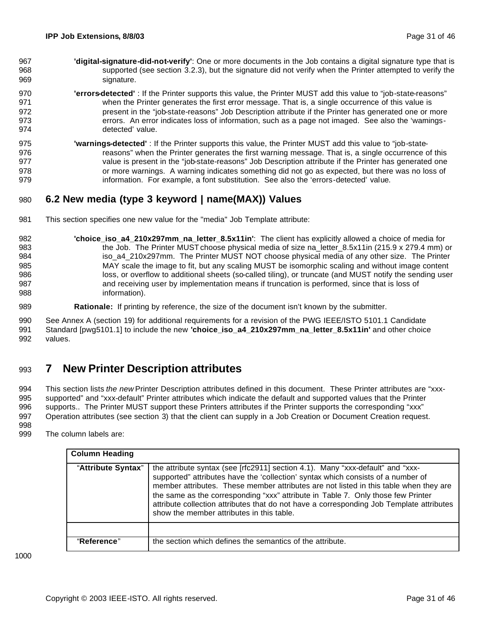- **'digital-signature-did-not-verify'**: One or more documents in the Job contains a digital signature type that is supported (see section 3.2.3), but the signature did not verify when the Printer attempted to verify the signature.
- **'errors-detected'** : If the Printer supports this value, the Printer MUST add this value to "job-state-reasons" when the Printer generates the first error message. That is, a single occurrence of this value is present in the "job-state-reasons" Job Description attribute if the Printer has generated one or more errors. An error indicates loss of information, such as a page not imaged. See also the 'warnings-detected' value.
- **'warnings-detected'** : If the Printer supports this value, the Printer MUST add this value to "job-state-**reasons**" when the Printer generates the first warning message. That is, a single occurrence of this value is present in the "job-state-reasons" Job Description attribute if the Printer has generated one or more warnings. A warning indicates something did not go as expected, but there was no loss of information. For example, a font substitution. See also the 'errors-detected' value.

## **6.2 New media (type 3 keyword | name(MAX)) Values**

- This section specifies one new value for the "media" Job Template attribute:
- **'choice\_iso\_a4\_210x297mm\_na\_letter\_8.5x11in'**: The client has explicitly allowed a choice of media for 983 the Job. The Printer MUST choose physical media of size na\_letter\_8.5x11in (215.9 x 279.4 mm) or 984 iso\_a4\_210x297mm. The Printer MUST NOT choose physical media of any other size. The Printer MAY scale the image to fit, but any scaling MUST be isomorphic scaling and without image content 986 loss, or overflow to additional sheets (so-called tiling), or truncate (and MUST notify the sending user and receiving user by implementation means if truncation is performed, since that is loss of information).
- **Rationale:** If printing by reference, the size of the document isn't known by the submitter.

 See Annex A (section 19) for additional requirements for a revision of the PWG IEEE/ISTO 5101.1 Candidate Standard [pwg5101.1] to include the new **'choice\_iso\_a4\_210x297mm\_na\_letter\_8.5x11in'** and other choice values.

# **7 New Printer Description attributes**

 This section lists *the new* Printer Description attributes defined in this document. These Printer attributes are "xxx- supported" and "xxx-default" Printer attributes which indicate the default and supported values that the Printer supports.. The Printer MUST support these Printers attributes if the Printer supports the corresponding "xxx" Operation attributes (see section 3) that the client can supply in a Job Creation or Document Creation request. 

The column labels are:

| <b>Column Heading</b> |                                                                                                                                                                                                                                                                                                                                                                                                                                                                                          |
|-----------------------|------------------------------------------------------------------------------------------------------------------------------------------------------------------------------------------------------------------------------------------------------------------------------------------------------------------------------------------------------------------------------------------------------------------------------------------------------------------------------------------|
| "Attribute Syntax"    | the attribute syntax (see [rfc2911] section 4.1). Many "xxx-default" and "xxx-<br>supported" attributes have the 'collection' syntax which consists of a number of<br>member attributes. These member attributes are not listed in this table when they are<br>the same as the corresponding "xxx" attribute in Table 7. Only those few Printer<br>attribute collection attributes that do not have a corresponding Job Template attributes<br>show the member attributes in this table. |
|                       |                                                                                                                                                                                                                                                                                                                                                                                                                                                                                          |
| "Reference"           | the section which defines the semantics of the attribute.                                                                                                                                                                                                                                                                                                                                                                                                                                |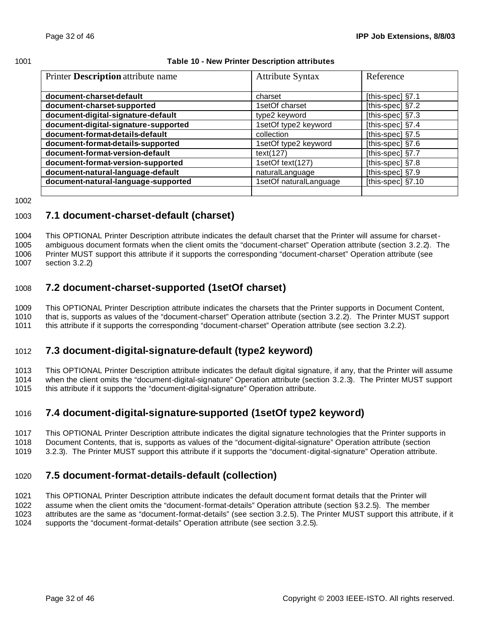#### **Table 10 - New Printer Description attributes**

| Printer Description attribute name   | <b>Attribute Syntax</b> | Reference         |
|--------------------------------------|-------------------------|-------------------|
|                                      |                         |                   |
| document-charset-default             | charset                 | [this-spec] §7.1  |
| document-charset-supported           | 1setOf charset          | [this-spec] §7.2  |
| document-digital-signature-default   | type2 keyword           | [this-spec] §7.3  |
| document-digital-signature-supported | 1setOf type2 keyword    | [this-spec] §7.4  |
| document-format-details-default      | collection              | [this-spec] §7.5  |
| document-format-details-supported    | 1setOf type2 keyword    | [this-spec] §7.6  |
| document-format-version-default      | text(127)               | [this-spec] §7.7  |
| document-format-version-supported    | 1setOf text(127)        | [this-spec] §7.8  |
| document-natural-language-default    | naturalLanguage         | [this-spec] §7.9  |
| document-natural-language-supported  | 1setOf naturalLanguage  | [this-spec] §7.10 |
|                                      |                         |                   |

### **7.1 document-charset-default (charset)**

 This OPTIONAL Printer Description attribute indicates the default charset that the Printer will assume for charset- ambiguous document formats when the client omits the "document-charset" Operation attribute (section 3.2.2). The Printer MUST support this attribute if it supports the corresponding "document-charset" Operation attribute (see section 3.2.2)

### **7.2 document-charset-supported (1setOf charset)**

 This OPTIONAL Printer Description attribute indicates the charsets that the Printer supports in Document Content, that is, supports as values of the "document-charset" Operation attribute (section 3.2.2). The Printer MUST support 1011 this attribute if it supports the corresponding "document-charset" Operation attribute (see section 3.2.2).

### **7.3 document-digital-signature-default (type2 keyword)**

 This OPTIONAL Printer Description attribute indicates the default digital signature, if any, that the Printer will assume when the client omits the "document-digital-signature" Operation attribute (section 3.2.3). The Printer MUST support this attribute if it supports the "document-digital-signature" Operation attribute.

# **7.4 document-digital-signature-supported (1setOf type2 keyword)**

- This OPTIONAL Printer Description attribute indicates the digital signature technologies that the Printer supports in
- Document Contents, that is, supports as values of the "document-digital-signature" Operation attribute (section
- 3.2.3). The Printer MUST support this attribute if it supports the "document-digital-signature" Operation attribute.

# **7.5 document-format-details-default (collection)**

 This OPTIONAL Printer Description attribute indicates the default document format details that the Printer will assume when the client omits the "document-format-details" Operation attribute (section §3.2.5). The member attributes are the same as "document-format-details" (see section 3.2.5). The Printer MUST support this attribute, if it supports the "document-format-details" Operation attribute (see section 3.2.5).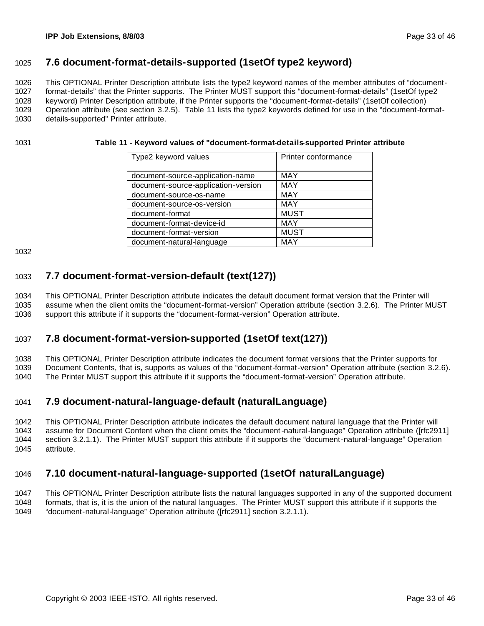### **7.6 document-format-details-supported (1setOf type2 keyword)**

 This OPTIONAL Printer Description attribute lists the type2 keyword names of the member attributes of "document- format-details" that the Printer supports. The Printer MUST support this "document-format-details" (1setOf type2 keyword) Printer Description attribute, if the Printer supports the "document-format-details" (1setOf collection) Operation attribute (see section 3.2.5). Table 11 lists the type2 keywords defined for use in the "document-format-

details-supported" Printer attribute.

#### **Table 11 - Keyword values of "document-format-details-supported Printer attribute**

| Type2 keyword values                | Printer conformance |
|-------------------------------------|---------------------|
|                                     |                     |
| document-source-application-name    | <b>MAY</b>          |
| document-source-application-version | <b>MAY</b>          |
| document-source-os-name             | <b>MAY</b>          |
| document-source-os-version          | <b>MAY</b>          |
| document-format                     | <b>MUST</b>         |
| document-format-device-id           | <b>MAY</b>          |
| document-format-version             | <b>MUST</b>         |
| document-natural-language           | MAY                 |

# **7.7 document-format-version-default (text(127))**

 This OPTIONAL Printer Description attribute indicates the default document format version that the Printer will assume when the client omits the "document-format-version" Operation attribute (section 3.2.6). The Printer MUST support this attribute if it supports the "document-format-version" Operation attribute.

### **7.8 document-format-version-supported (1setOf text(127))**

This OPTIONAL Printer Description attribute indicates the document format versions that the Printer supports for

Document Contents, that is, supports as values of the "document-format-version" Operation attribute (section 3.2.6).

The Printer MUST support this attribute if it supports the "document-format-version" Operation attribute.

### **7.9 document-natural-language-default (naturalLanguage)**

 This OPTIONAL Printer Description attribute indicates the default document natural language that the Printer will assume for Document Content when the client omits the "document-natural-language" Operation attribute ([rfc2911] section 3.2.1.1). The Printer MUST support this attribute if it supports the "document-natural-language" Operation attribute.

### **7.10 document-natural-language-supported (1setOf naturalLanguage)**

 This OPTIONAL Printer Description attribute lists the natural languages supported in any of the supported document formats, that is, it is the union of the natural languages. The Printer MUST support this attribute if it supports the

"document-natural-language" Operation attribute ([rfc2911] section 3.2.1.1).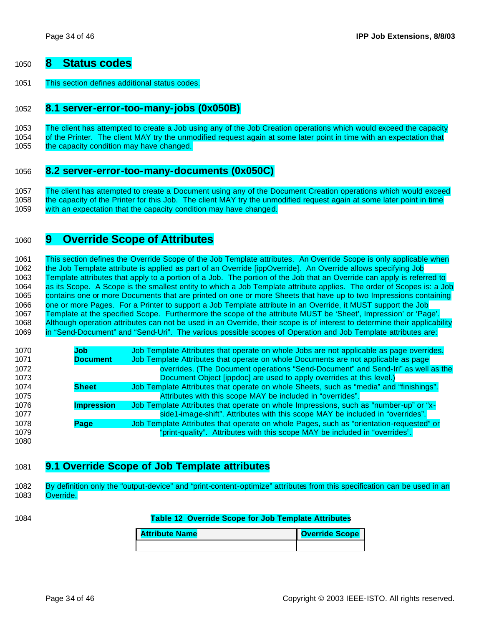### **8 Status codes**

This section defines additional status codes.

#### **8.1 server-error-too-many-jobs (0x050B)**

The client has attempted to create a Job using any of the Job Creation operations which would exceed the capacity

 of the Printer. The client MAY try the unmodified request again at some later point in time with an expectation that 1055 the capacity condition may have changed.

#### **8.2 server-error-too-many-documents (0x050C)**

 The client has attempted to create a Document using any of the Document Creation operations which would exceed 1058 the capacity of the Printer for this Job. The client MAY try the unmodified request again at some later point in time with an expectation that the capacity condition may have changed.

### **9 Override Scope of Attributes**

 This section defines the Override Scope of the Job Template attributes. An Override Scope is only applicable when the Job Template attribute is applied as part of an Override [ippOverride]. An Override allows specifying Job Template attributes that apply to a portion of a Job. The portion of the Job that an Override can apply is referred to as its Scope. A Scope is the smallest entity to which a Job Template attribute applies. The order of Scopes is: a Job contains one or more Documents that are printed on one or more Sheets that have up to two Impressions containing one or more Pages. For a Printer to support a Job Template attribute in an Override, it MUST support the Job Template at the specified Scope. Furthermore the scope of the attribute MUST be 'Sheet', Impression' or 'Page'. Although operation attributes can not be used in an Override, their scope is of interest to determine their applicability in "Send-Document" and "Send-Uri". The various possible scopes of Operation and Job Template attributes are:

| 1070 | Job               | Job Template Attributes that operate on whole Jobs are not applicable as page overrides. |
|------|-------------------|------------------------------------------------------------------------------------------|
| 1071 | <b>Document</b>   | Job Template Attributes that operate on whole Documents are not applicable as page       |
| 1072 |                   | overrides. (The Document operations "Send-Document" and Send-Iri" as well as the         |
| 1073 |                   | Document Object [ippdoc] are used to apply overrides at this level.)                     |
| 1074 | <b>Sheet</b>      | Job Template Attributes that operate on whole Sheets, such as "media" and "finishings".  |
| 1075 |                   | Attributes with this scope MAY be included in "overrides".                               |
| 1076 | <b>Impression</b> | Job Template Attributes that operate on whole Impressions, such as "number-up" or "x-    |
| 1077 |                   | side1-image-shift". Attributes with this scope MAY be included in "overrides".           |
| 1078 | Page              | Job Template Attributes that operate on whole Pages, such as "orientation-requested" or  |
| 1079 |                   | "print-quality". Attributes with this scope MAY be included in "overrides".              |
| 1080 |                   |                                                                                          |

### **9.1 Override Scope of Job Template attributes**

 By definition only the "output-device" and "print-content-optimize" attributes from this specification can be used in an Override.

#### **Table 12 Override Scope for Job Template Attributes**

| <b>Attribute Name</b> | <b>Override Scope</b> |  |  |
|-----------------------|-----------------------|--|--|
|                       |                       |  |  |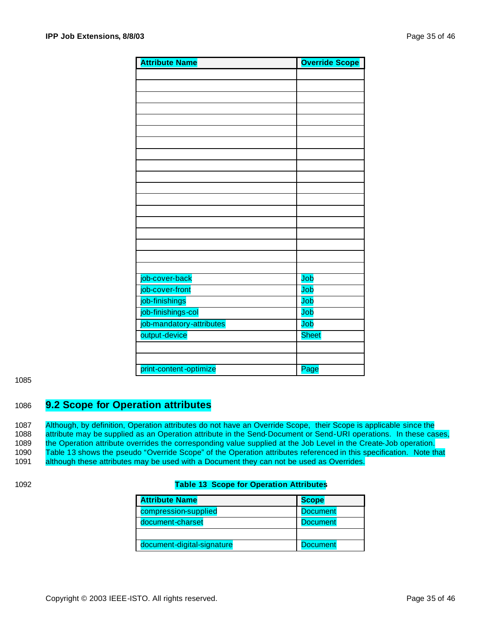| <b>Attribute Name</b>    | <b>Override Scope</b> |
|--------------------------|-----------------------|
|                          |                       |
|                          |                       |
|                          |                       |
|                          |                       |
|                          |                       |
|                          |                       |
|                          |                       |
|                          |                       |
|                          |                       |
|                          |                       |
|                          |                       |
|                          |                       |
|                          |                       |
|                          |                       |
|                          |                       |
|                          |                       |
|                          |                       |
|                          |                       |
| job-cover-back           | Job                   |
| job-cover-front          | Job                   |
| job-finishings           | Job                   |
| job-finishings-col       | Job                   |
| job-mandatory-attributes | Job                   |
| output-device            | <b>Sheet</b>          |
|                          |                       |
|                          |                       |
| print-content-optimize   | Page                  |

#### 1085

### 1086 **9.2 Scope for Operation attributes**

1087 Although, by definition, Operation attributes do not have an Override Scope, their Scope is applicable since the 1088 attribute may be supplied as an Operation attribute in the Send-Document or Send-URI operations. In these cases, 1089 the Operation attribute overrides the corresponding value supplied at the Job Level in the Create-Job operation. 1090 Table 13 shows the pseudo "Override Scope" of the Operation attributes referenced in this specification. Note that 1091 although these attributes may be used with a Document they can not be used as Overrides.

#### 1092 **Table 13 Scope for Operation Attributes**

| <b>Attribute Name</b>      | <b>Scope</b>    |
|----------------------------|-----------------|
| compression-supplied       | <b>Document</b> |
| document-charset           | <b>Document</b> |
|                            |                 |
| document-digital-signature | <b>Document</b> |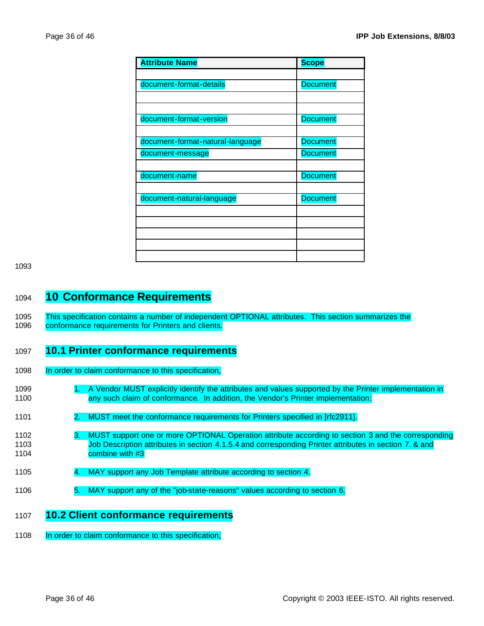| <b>Attribute Name</b>            | <b>Scope</b>    |
|----------------------------------|-----------------|
|                                  |                 |
| document-format-details          | <b>Document</b> |
|                                  |                 |
|                                  |                 |
| document-format-version          | <b>Document</b> |
|                                  |                 |
| document-format-natural-language | <b>Document</b> |
| document-message                 | <b>Document</b> |
|                                  |                 |
| document-name                    | <b>Document</b> |
|                                  |                 |
| document-natural-language        | <b>Document</b> |
|                                  |                 |
|                                  |                 |
|                                  |                 |
|                                  |                 |
|                                  |                 |

1093

# <sup>1094</sup> **10 Conformance Requirements**

1095 This specification contains a number of independent OPTIONAL attributes. This section summarizes the 1096 conformance requirements for Printers and clients.

### 1097 **10.1 Printer conformance requirements**

- 1098 In order to claim conformance to this specification,
- 1099 1. A Vendor MUST explicitly identify the attributes and values supported by the Printer implementation in 1100 any such claim of conformance. In addition, the Vendor's Printer implementation:
- 1101 2. MUST meet the conformance requirements for Printers specified in [rfc2911].
- 1102 3. MUST support one or more OPTIONAL Operation attribute according to section 3 and the corresponding 1103 Job Description attributes in section 4.1.5.4 and corresponding Printer attributes in section 7. & and 1104 combine with #3
- 1105 4. MAY support any Job Template attribute according to section 4.
- 1106 5. MAY support any of the "job-state-reasons" values according to section 6.

### 1107 **10.2 Client conformance requirements**

1108 In order to claim conformance to this specification,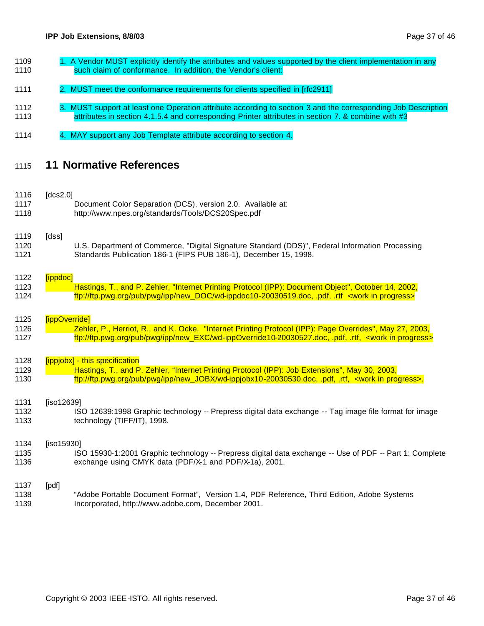- 1109 1. A Vendor MUST explicitly identify the attributes and values supported by the client implementation in any **Such claim of conformance.** In addition, the Vendor's client:
- 1111 2. MUST meet the conformance requirements for clients specified in [rfc2911]
- 1112 3. MUST support at least one Operation attribute according to section 3 and the corresponding Job Description 1113 attributes in section 4.1.5.4 and corresponding Printer attributes in section 7. & combine with #3
- 1114 4. MAY support any Job Template attribute according to section 4.

### **11 Normative References**

 $\left[\frac{1}{2} \times 2.01\right]$ 

| 1110<br>1117<br>1118 | UUSZ.U        | Document Color Separation (DCS), version 2.0. Available at:<br>http://www.npes.org/standards/Tools/DCS20Spec.pdf                                                                                                                                 |
|----------------------|---------------|--------------------------------------------------------------------------------------------------------------------------------------------------------------------------------------------------------------------------------------------------|
| 1119<br>1120<br>1121 | [dss]         | U.S. Department of Commerce, "Digital Signature Standard (DDS)", Federal Information Processing<br>Standards Publication 186-1 (FIPS PUB 186-1), December 15, 1998.                                                                              |
| 1122<br>1123<br>1124 | [ippdoc]      | Hastings, T., and P. Zehler, "Internet Printing Protocol (IPP): Document Object", October 14, 2002,<br>ftp://ftp.pwg.org/pub/pwg/ipp/new_DOC/wd-ippdoc10-20030519.doc, .pdf, .rtf <work in="" progress=""></work>                                |
| 1125<br>1126<br>1127 | [ippOverride] | Zehler, P., Herriot, R., and K. Ocke, "Internet Printing Protocol (IPP): Page Overrides", May 27, 2003,<br>ftp://ftp.pwg.org/pub/pwg/ipp/new_EXC/wd-ippOverride10-20030527.doc, .pdf, .rtf, <work in="" progress=""></work>                      |
| 1128<br>1129<br>1130 |               | [ippjobx] - this specification<br>Hastings, T., and P. Zehler, "Internet Printing Protocol (IPP): Job Extensions", May 30, 2003,<br>ftp://ftp.pwg.org/pub/pwg/ipp/new_JOBX/wd-ippjobx10-20030530.doc, pdf, rtf, <work in="" progress="">.</work> |
| 1131<br>1132<br>1133 | [iso12639]    | ISO 12639:1998 Graphic technology -- Prepress digital data exchange -- Tag image file format for image<br>technology (TIFF/IT), 1998.                                                                                                            |
| 1134<br>1135<br>1136 | [iso15930]    | ISO 15930-1:2001 Graphic technology -- Prepress digital data exchange -- Use of PDF -- Part 1: Complete<br>exchange using CMYK data (PDF/X-1 and PDF/X-1a), 2001.                                                                                |
| 1137<br>1138<br>1139 | [pdf]         | "Adobe Portable Document Format", Version 1.4, PDF Reference, Third Edition, Adobe Systems<br>Incorporated, http://www.adobe.com, December 2001.                                                                                                 |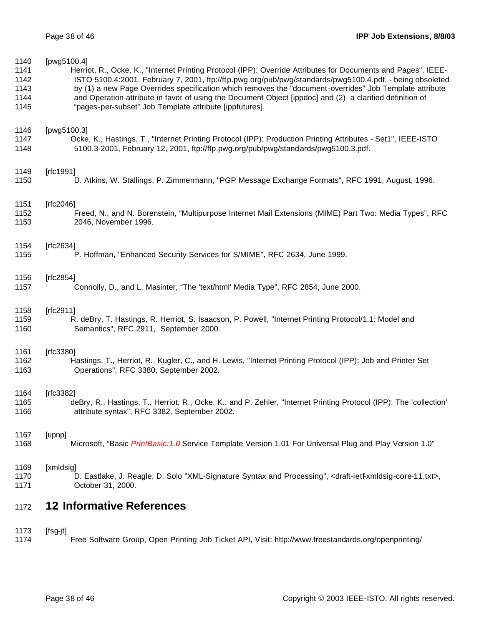| 1140 | [pwg5100.4]                                                                                                                               |
|------|-------------------------------------------------------------------------------------------------------------------------------------------|
| 1141 | Herriot, R., Ocke, K., "Internet Printing Protocol (IPP): Override Attributes for Documents and Pages", IEEE-                             |
| 1142 | ISTO 5100.4:2001, February 7, 2001, ftp://ftp.pwg.org/pub/pwg/standards/pwg5100.4.pdf. - being obsoleted                                  |
| 1143 | by (1) a new Page Overrides specification which removes the "document-overrides" Job Template attribute                                   |
| 1144 | and Operation attribute in favor of using the Document Object [ippdoc] and (2) a clarified definition of                                  |
| 1145 | "pages-per-subset" Job Template attribute [ippfutures].                                                                                   |
| 1146 | [pwg5100.3]                                                                                                                               |
| 1147 | Ocke, K., Hastings, T., "Internet Printing Protocol (IPP): Production Printing Attributes - Set1", IEEE-ISTO                              |
| 1148 | 5100.3-2001, February 12, 2001, ftp://ftp.pwg.org/pub/pwg/standards/pwg5100.3.pdf.                                                        |
| 1149 | [ $rfc1991$ ]                                                                                                                             |
| 1150 | D. Atkins, W. Stallings, P. Zimmermann, "PGP Message Exchange Formats", RFC 1991, August, 1996.                                           |
| 1151 | [ $rfc2046$ ]                                                                                                                             |
| 1152 | Freed, N., and N. Borenstein, "Multipurpose Internet Mail Extensions (MIME) Part Two: Media Types", RFC                                   |
| 1153 | 2046, November 1996.                                                                                                                      |
| 1154 | [ $rfc2634$ ]                                                                                                                             |
| 1155 | P. Hoffman, "Enhanced Security Services for S/MIME", RFC 2634, June 1999.                                                                 |
| 1156 | [rfc2854]                                                                                                                                 |
| 1157 | Connolly, D., and L. Masinter, "The 'text/html' Media Type", RFC 2854, June 2000.                                                         |
| 1158 | [ $rfc2911$ ]                                                                                                                             |
| 1159 | R. deBry, T. Hastings, R. Herriot, S. Isaacson, P. Powell, "Internet Printing Protocol/1.1: Model and                                     |
| 1160 | Semantics", RFC 2911, September 2000.                                                                                                     |
| 1161 | [ $rfc3380$ ]                                                                                                                             |
| 1162 | Hastings, T., Herriot, R., Kugler, C., and H. Lewis, "Internet Printing Protocol (IPP): Job and Printer Set                               |
| 1163 | Operations", RFC 3380, September 2002.                                                                                                    |
| 1164 | [ $rfc3382$ ]                                                                                                                             |
| 1165 | deBry, R., Hastings, T., Herriot, R., Ocke, K., and P. Zehler, "Internet Printing Protocol (IPP): The 'collection'                        |
| 1166 | attribute syntax", RFC 3382, September 2002.                                                                                              |
| 1167 | [upnp]                                                                                                                                    |
| 1168 | Microsoft, "Basic PrintBasic: 1.0 Service Template Version 1.01 For Universal Plug and Play Version 1.0"                                  |
| 1169 | [xmldsig]                                                                                                                                 |
| 1170 | D. Eastlake, J. Reagle, D. Solo "XML-Signature Syntax and Processing", <draft-ietf-xmldsig-core-11.txt>,</draft-ietf-xmldsig-core-11.txt> |
| 1171 | October 31, 2000.                                                                                                                         |
| 1172 | <b>12 Informative References</b>                                                                                                          |
| 1173 | [fsg-jt]                                                                                                                                  |
| 1174 | Free Software Group, Open Printing Job Ticket API, Visit: http://www.freestandards.org/openprinting/                                      |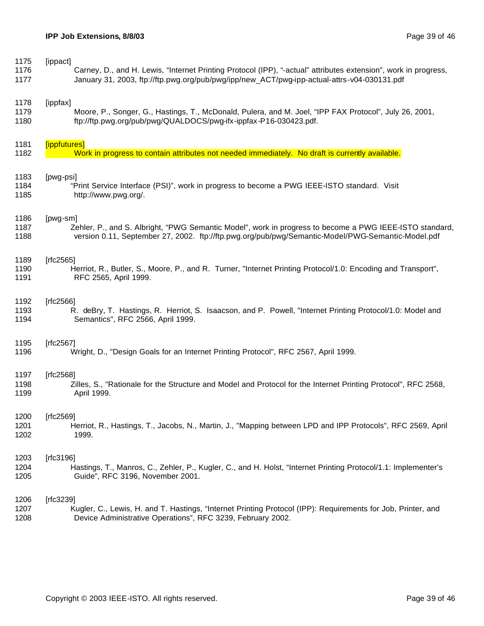| 1175 | [ippact]                                                                                                        |
|------|-----------------------------------------------------------------------------------------------------------------|
| 1176 | Carney, D., and H. Lewis, "Internet Printing Protocol (IPP), "-actual" attributes extension", work in progress, |
| 1177 | January 31, 2003, ftp://ftp.pwg.org/pub/pwg/ipp/new_ACT/pwg-ipp-actual-attrs-v04-030131.pdf                     |
| 1178 | [ippfax]                                                                                                        |
| 1179 | Moore, P., Songer, G., Hastings, T., McDonald, Pulera, and M. Joel, "IPP FAX Protocol", July 26, 2001,          |
| 1180 | ftp://ftp.pwg.org/pub/pwg/QUALDOCS/pwg-ifx-ippfax-P16-030423.pdf.                                               |
| 1181 | [ippfutures]                                                                                                    |
| 1182 | Work in progress to contain attributes not needed immediately. No draft is currently available.                 |
| 1183 | [pwg-psi]                                                                                                       |
| 1184 | "Print Service Interface (PSI)", work in progress to become a PWG IEEE-ISTO standard. Visit                     |
| 1185 | http://www.pwg.org/.                                                                                            |
| 1186 | [pwg-sm]                                                                                                        |
| 1187 | Zehler, P., and S. Albright, "PWG Semantic Model", work in progress to become a PWG IEEE-ISTO standard,         |
| 1188 | version 0.11, September 27, 2002. ftp://ftp.pwg.org/pub/pwg/Semantic-Model/PWG-Semantic-Model.pdf               |
| 1189 | [ $rfc2565$ ]                                                                                                   |
| 1190 | Herriot, R., Butler, S., Moore, P., and R. Turner, "Internet Printing Protocol/1.0: Encoding and Transport",    |
| 1191 | RFC 2565, April 1999.                                                                                           |
| 1192 | [ $rfc2566$ ]                                                                                                   |
| 1193 | R. deBry, T. Hastings, R. Herriot, S. Isaacson, and P. Powell, "Internet Printing Protocol/1.0: Model and       |
| 1194 | Semantics", RFC 2566, April 1999.                                                                               |
| 1195 | [ $rfc2567$ ]                                                                                                   |
| 1196 | Wright, D., "Design Goals for an Internet Printing Protocol", RFC 2567, April 1999.                             |
| 1197 | [rfc2568]                                                                                                       |
| 1198 | Zilles, S., "Rationale for the Structure and Model and Protocol for the Internet Printing Protocol", RFC 2568,  |
| 1199 | April 1999.                                                                                                     |
| 1200 | [rfc2569]                                                                                                       |
| 1201 | Herriot, R., Hastings, T., Jacobs, N., Martin, J., "Mapping between LPD and IPP Protocols", RFC 2569, April     |
| 1202 | 1999.                                                                                                           |
| 1203 | [ $rfc3196$ ]                                                                                                   |
| 1204 | Hastings, T., Manros, C., Zehler, P., Kugler, C., and H. Holst, "Internet Printing Protocol/1.1: Implementer's  |
| 1205 | Guide", RFC 3196, November 2001.                                                                                |
| 1206 | [ $rfc3239$ ]                                                                                                   |
| 1207 | Kugler, C., Lewis, H. and T. Hastings, "Internet Printing Protocol (IPP): Requirements for Job, Printer, and    |
| 1208 | Device Administrative Operations", RFC 3239, February 2002.                                                     |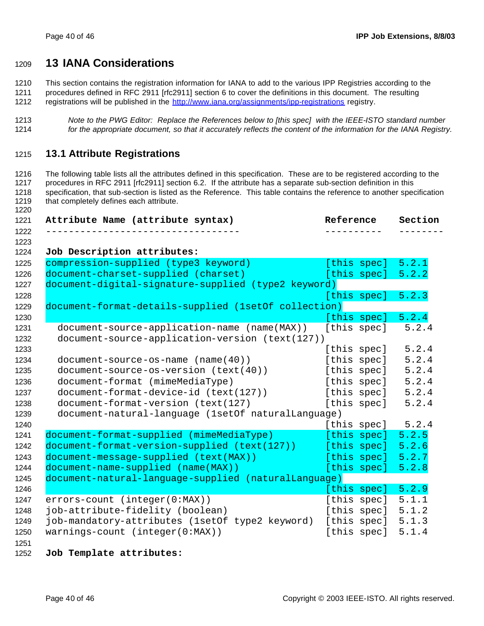# **13 IANA Considerations**

This section contains the registration information for IANA to add to the various IPP Registries according to the

procedures defined in RFC 2911 [rfc2911] section 6 to cover the definitions in this document. The resulting

- 1212 registrations will be published in the http://www.iana.org/assignments/ipp-registrations registry.
- *Note to the PWG Editor: Replace the References below to [this spec] with the IEEE-ISTO standard number for the appropriate document, so that it accurately reflects the content of the information for the IANA Registry.*

### **13.1 Attribute Registrations**

 The following table lists all the attributes defined in this specification. These are to be registered according to the procedures in RFC 2911 [rfc2911] section 6.2. If the attribute has a separate sub-section definition in this specification, that sub-section is listed as the Reference. This table contains the reference to another specification 1219 that completely defines each attribute. 

| Attribute Name (attribute syntax)                    | Reference   | Section |
|------------------------------------------------------|-------------|---------|
|                                                      |             |         |
| Job Description attributes:                          |             |         |
| compression-supplied (type3 keyword)                 | [this spec] | 5.2.1   |
| document-charset-supplied (charset)                  | [this spec] | 5.2.2   |
| document-digital-signature-supplied (type2 keyword)  |             |         |
|                                                      | [this spec] | 5.2.3   |
| document-format-details-supplied (1setOf collection) |             |         |
|                                                      | [this spec] | 5.2.4   |
| document-source-application-name (name(MAX))         | [this spec] | 5.2.4   |
| document-source-application-version (text(127))      |             |         |
|                                                      | [this spec] | 5.2.4   |
| $document-source-os-name (name(40))$                 | [this spec] | 5.2.4   |
| document-source-os-version (text(40))                | [this spec] | 5.2.4   |
| document-format (mimeMediaType)                      | [this spec] | 5.2.4   |
| document-format-device-id (text(127))                | [this spec] | 5.2.4   |
| document-format-version (text(127)                   | [this spec] | 5.2.4   |
| document-natural-language (1setOf naturalLanguage)   |             |         |
|                                                      | [this spec] | 5.2.4   |
| document-format-supplied (mimeMediaType)             | [this spec] | 5.2.5   |
| document-format-version-supplied (text(127))         | [this spec] | 5.2.6   |
| document-message-supplied (text(MAX))                | [this spec] | 5.2.7   |
| document-name-supplied (name(MAX))                   | [this spec] | 5.2.8   |
| document-natural-language-supplied (naturalLanguage) |             |         |
|                                                      | [this spec] | 5.2.9   |
| errors-count (integer(0:MAX))                        | [this spec] | 5.1.1   |
| job-attribute-fidelity (boolean)                     | [this spec] | 5.1.2   |
| job-mandatory-attributes (1setOf type2 keyword)      | [this spec] | 5.1.3   |
| $warnings-count (integer(0:MAX))$                    | [this spec] | 5.1.4   |

#### **Job Template attributes:**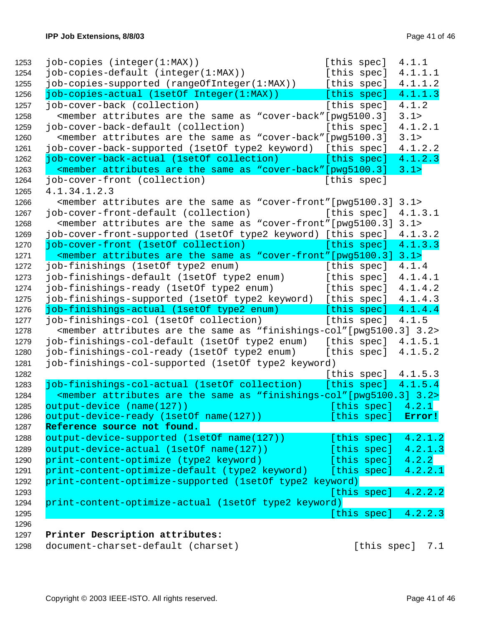|                                                                                                                                               |  | [this spec]           |         | 4.2.2.3 |
|-----------------------------------------------------------------------------------------------------------------------------------------------|--|-----------------------|---------|---------|
| print-content-optimize-actual (1setOf type2 keyword)                                                                                          |  |                       |         |         |
|                                                                                                                                               |  | [this spec]           |         | 4.2.2.2 |
| print-content-optimize-supported (1setOf type2 keyword)                                                                                       |  |                       |         |         |
| print-content-optimize-default (type2 keyword)                                                                                                |  | [this spec]           |         | 4.2.2.1 |
| print-content-optimize (type2 keyword)                                                                                                        |  | [this spec]           |         | 4.2.2   |
| output-device-actual (1setOf name(127))                                                                                                       |  | [this spec]           |         | 4.2.1.3 |
| output-device-supported (1setOf name(127))                                                                                                    |  | [this spec]           |         | 4.2.1.2 |
| Reference source not found.                                                                                                                   |  |                       |         |         |
| output-device-ready (1setOf name(127))                                                                                                        |  | [this spec]           | Error!  |         |
| output-device (name(127))                                                                                                                     |  | [this spec]           | 4.2.1   |         |
| <member "finishings-col"[pwg5100.3]="" 3.2="" are="" as="" attributes="" same="" the=""></member>                                             |  |                       |         |         |
| job-finishings-col-actual (1setOf collection)                                                                                                 |  | [this spec] $4.1.5.4$ |         |         |
|                                                                                                                                               |  | [this spec] $4.1.5.3$ |         |         |
| job-finishings-col-supported (1setOf type2 keyword)                                                                                           |  |                       |         |         |
| job-finishings-col-ready (1setOf type2 enum)                                                                                                  |  | [this spec]           | 4.1.5.2 |         |
| job-finishings-col-default (1setOf type2 enum) [this spec]                                                                                    |  |                       | 4.1.5.1 |         |
| <member "finishings-col"="" 3.2="" [pwg5100.3]="" are="" as="" attributes="" same="" the=""></member>                                         |  |                       |         |         |
| job-finishings-col (1setOf collection)                                                                                                        |  | [this spec]           | 4.1.5   |         |
| job-finishings-actual (1setOf type2 enum)                                                                                                     |  | [this spec]           | 4.1.4.4 |         |
| job-finishings-supported (1setOf type2 keyword) [this spec]                                                                                   |  |                       | 4.1.4.3 |         |
| job-finishings-ready (1setOf type2 enum)                                                                                                      |  | [this spec]           | 4.1.4.2 |         |
| job-finishings-default (1setOf type2 enum)                                                                                                    |  | [this spec]           | 4.1.4.1 |         |
| job-finishings (1setOf type2 enum)                                                                                                            |  | [this spec]           | 4.1.4   |         |
| <member "cover-front"="" 3.1="" [pwg5100.3]="" are="" as="" attributes="" same="" the=""></member>                                            |  |                       |         |         |
| job-cover-front (1setOf collection)                                                                                                           |  | [this spec]           | 4.1.3.3 |         |
| job-cover-front-supported (1setOf type2 keyword) [this spec]                                                                                  |  |                       | 4.1.3.2 |         |
| <member "cover-front"[pwg5100.3]<="" are="" as="" attributes="" same="" td="" the=""><td></td><td></td><td>3.1&gt;</td><td></td></member>     |  |                       | 3.1>    |         |
| job-cover-front-default (collection)                                                                                                          |  | [this spec]           | 4.1.3.1 |         |
| <member "cover-front"="" [pwg5100.3]<="" are="" as="" attributes="" same="" td="" the=""><td></td><td></td><td>3.1&gt;</td><td></td></member> |  |                       | 3.1>    |         |
| 4.1.34.1.2.3                                                                                                                                  |  |                       |         |         |
| job-cover-front (collection)                                                                                                                  |  | [this spec]           |         |         |
| <member "cover-back"="" [pwg5100.3]<="" are="" as="" attributes="" same="" td="" the=""><td></td><td></td><td>3.1&gt;</td><td></td></member>  |  |                       | 3.1>    |         |
| job-cover-back-actual (1setOf collection)                                                                                                     |  | [this spec]           | 4.1.2.3 |         |
| job-cover-back-supported (1setOf type2 keyword) [this spec]                                                                                   |  |                       | 4.1.2.2 |         |
| <member "cover-back"="" [pwg5100.3]<="" are="" as="" attributes="" same="" td="" the=""><td></td><td></td><td>3.1&gt;</td><td></td></member>  |  |                       | 3.1>    |         |
| job-cover-back-default (collection)                                                                                                           |  | [this spec]           | 4.1.2.1 |         |
| <member "cover-back"="" [pwg5100.3]<="" are="" as="" attributes="" same="" td="" the=""><td></td><td></td><td>3.1&gt;</td><td></td></member>  |  |                       | 3.1>    |         |
| job-cover-back (collection)                                                                                                                   |  | [this spec]           | 4.1.2   |         |
| job-copies-actual (1setOf Integer(1:MAX))                                                                                                     |  | [this spec]           | 4.1.1.3 |         |
| job-copies-supported (rangeOfInteger(1:MAX))                                                                                                  |  | [this spec]           | 4.1.1.2 |         |
| job-copies-default (integer(1:MAX))                                                                                                           |  | [this spec]           | 4.1.1.1 |         |
| $job$ -copies (integer( $1:MAX$ ))                                                                                                            |  | [this spec]           | 4.1.1   |         |

1298 document-charset-default (charset) [this spec] 7.1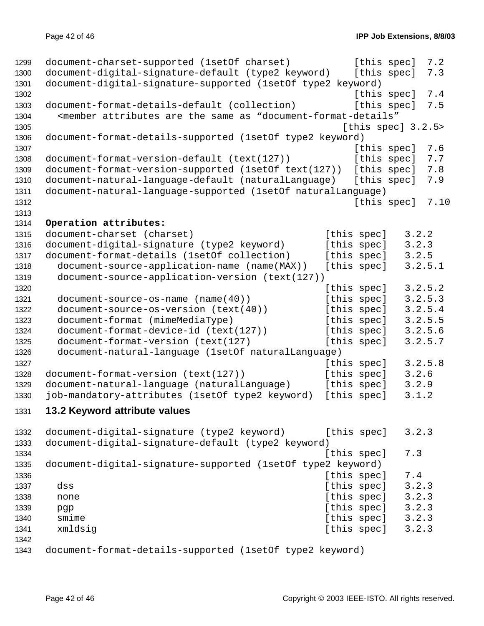```
1299 document-charset-supported (1setOf charset) [this spec] 7.2
1300 document-digital-signature-default (type2 keyword) [this spec] 7.3
1301 document-digital-signature-supported (1setOf type2 keyword)
1302 [this spec] 7.4
1303 document-format-details-default (collection) [this spec] 7.5
1304 <member attributes are the same as "document-format-details"
1305 [this spec] 3.2.5>
1306 document-format-details-supported (1setOf type2 keyword)
1307 for the contract of the contract of the contract of the contract of the contract of the contract of the contract of the contract of the contract of the contract of the contract of the contract of the contract of the 
1308 document-format-version-default (text(127)) [this spec] 7.7
1309 document-format-version-supported (1setOf text(127)) [this spec] 7.8
1310 document-natural-language-default (naturalLanguage) [this spec] 7.9
1311 document-natural-language-supported (1setOf naturalLanguage)
1312 [this spec] 7.10
1313
1314 Operation attributes:
1315 document-charset (charset) [this spec] 3.2.2
1316 document-digital-signature (type2 keyword) [this spec] 3.2.3
1317 document-format-details (1setOf collection) [this spec] 3.2.5
1318 document-source-application-name (name(MAX)) [this spec] 3.2.5.1
1319 document-source-application-version (text(127))
1320 [this spec] 3.2.5.2
1321 document-source-os-name (name(40)) [this spec] 3.2.5.3
1322 document-source-os-version (text(40)) [this spec] 3.2.5.4
1323 document-format (mimeMediaType) [this spec] 3.2.5.5
1324 document-format-device-id (text(127)) [this spec] 3.2.5.6
1325 document-format-version (text(127) [this spec] 3.2.5.7
1326 document-natural-language (1setOf naturalLanguage)
1327 1327 1327 1327
1328 document-format-version (text(127)) [this spec] 3.2.6
1329 document-natural-language (naturalLanguage) [this spec] 3.2.9
1330 job-mandatory-attributes (1setOf type2 keyword) [this spec] 3.1.2
1331 13.2 Keyword attribute values
1332 document-digital-signature (type2 keyword) [this spec] 3.2.3
1333 document-digital-signature-default (type2 keyword)
1334 Intervention Contract Contract Contract Contract Contract Contract Contract Contract Contract Contract Contract Contract Contract Contract Contract Contract Contract Contract Contract Contract Contract Contract Contr
1335 document-digital-signature-supported (1setOf type2 keyword)
1336 Intervention Contract Contract Contract Contract Contract Contract Contract Contract Contract Contract Contract Contract Contract Contract Contract Contract Contract Contract Contract Contract Contract Contract Contr
1337 dss [this spec] 3.2.3<br>1338 none [this spec] 3.2.3
1338 none [this spec]
1339 pgp [this spec] 3.2.3
1340 smime [this spec] 3.2.3
1341 xmldsig \sim [this spec] 3.2.3
1342
1343 document-format-details-supported (1setOf type2 keyword)
```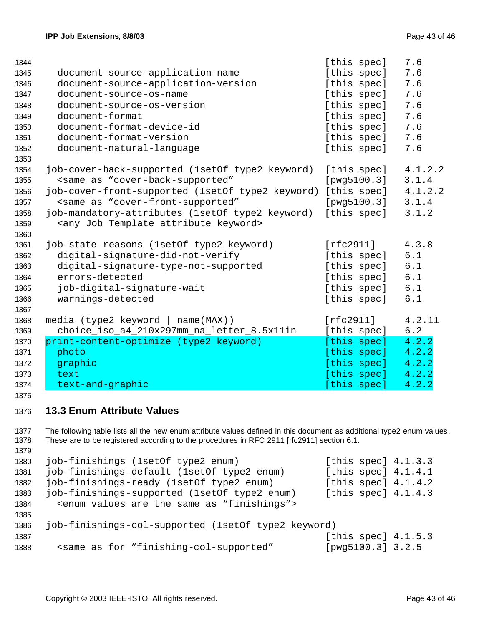| 1344 |                                                                                         | [this spec] | 7.6     |
|------|-----------------------------------------------------------------------------------------|-------------|---------|
| 1345 | document-source-application-name                                                        | [this spec] | 7.6     |
| 1346 | document-source-application-version                                                     | [this spec] | 7.6     |
| 1347 | document-source-os-name                                                                 | [this spec] | 7.6     |
| 1348 | document-source-os-version                                                              | [this spec] | 7.6     |
| 1349 | document-format                                                                         | [this spec] | 7.6     |
| 1350 | document-format-device-id                                                               | [this spec] | 7.6     |
| 1351 | document-format-version                                                                 | [this spec] | 7.6     |
| 1352 | document-natural-language                                                               | [this spec] | 7.6     |
| 1353 |                                                                                         |             |         |
| 1354 | job-cover-back-supported (1setOf type2 keyword)                                         | [this spec] | 4.1.2.2 |
| 1355 | <same "cover-back-supported"<="" as="" td=""><td>[pwg5100.3]</td><td>3.1.4</td></same>  | [pwg5100.3] | 3.1.4   |
| 1356 | job-cover-front-supported (1setOf type2 keyword)                                        | [this spec] | 4.1.2.2 |
| 1357 | <same "cover-front-supported"<="" as="" td=""><td>[pwg5100.3]</td><td>3.1.4</td></same> | [pwg5100.3] | 3.1.4   |
| 1358 | job-mandatory-attributes (1setOf type2 keyword)                                         | [this spec] | 3.1.2   |
| 1359 | <any attribute="" job="" keyword="" template=""></any>                                  |             |         |
| 1360 |                                                                                         |             |         |
| 1361 | job-state-reasons (1setOf type2 keyword)                                                | [rfc2911]   | 4.3.8   |
| 1362 | digital-signature-did-not-verify                                                        | [this spec] | 6.1     |
| 1363 | digital-signature-type-not-supported                                                    | [this spec] | 6.1     |
| 1364 | errors-detected                                                                         | [this spec] | 6.1     |
| 1365 | job-digital-signature-wait                                                              | [this spec] | 6.1     |
| 1366 | warnings-detected                                                                       | [this spec] | 6.1     |
| 1367 |                                                                                         |             |         |
| 1368 | media (type2 keyword   name(MAX))                                                       | [rfc2911]   | 4.2.11  |
| 1369 | choice_iso_a4_210x297mm_na_letter_8.5x11in                                              | [this spec] | 6.2     |
| 1370 | print-content-optimize (type2 keyword)                                                  | [this spec] | 4.2.2   |
| 1371 | photo                                                                                   | [this spec] | 4.2.2   |
| 1372 | graphic                                                                                 | [this spec] | 4.2.2   |
| 1373 | text                                                                                    | [this spec] | 4.2.2   |
| 1374 | text-and-graphic                                                                        | [this spec] | 4.2.2   |

#### 

### **13.3 Enum Attribute Values**

 The following table lists all the new enum attribute values defined in this document as additional type2 enum values. These are to be registered according to the procedures in RFC 2911 [rfc2911] section 6.1. job-finishings (1setOf type2 enum) [this spec] 4.1.3.3 job-finishings-default (1setOf type2 enum) [this spec] 4.1.4.1 job-finishings-ready (1setOf type2 enum) [this spec] 4.1.4.2 job-finishings-supported (1setOf type2 enum) [this spec] 4.1.4.3 <enum values are the same as "finishings"> job-finishings-col-supported (1setOf type2 keyword) 1387 [this spec] 4.1.5.3 <same as for "finishing-col-supported" [pwg5100.3] 3.2.5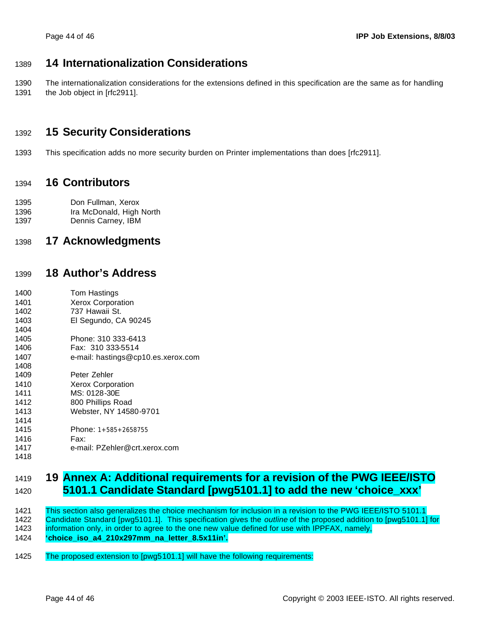# **14 Internationalization Considerations**

 The internationalization considerations for the extensions defined in this specification are the same as for handling 1391 the Job object in [rfc2911].

# **15 Security Considerations**

This specification adds no more security burden on Printer implementations than does [rfc2911].

## **16 Contributors**

 Don Fullman, Xerox Ira McDonald, High North

Dennis Carney, IBM

# **17 Acknowledgments**

# **18 Author's Address**

 Tom Hastings Xerox Corporation 737 Hawaii St. El Segundo, CA 90245 Phone: 310 333-6413 Fax: 310 333-5514 e-mail: hastings@cp10.es.xerox.com Peter Zehler Xerox Corporation MS: 0128-30E 800 Phillips Road Webster, NY 14580-9701 Phone: 1+585+2658755 Fax: e-mail: PZehler@crt.xerox.com 

# **19 Annex A: Additional requirements for a revision of the PWG IEEE/ISTO 5101.1 Candidate Standard [pwg5101.1] to add the new 'choice\_xxx'**

 This section also generalizes the choice mechanism for inclusion in a revision to the PWG IEEE/ISTO 5101.1 Candidate Standard [pwg5101.1]. This specification gives the *outline* of the proposed addition to [pwg5101.1] for information only, in order to agree to the one new value defined for use with IPPFAX, namely, **'choice\_iso\_a4\_210x297mm\_na\_letter\_8.5x11in'.**

The proposed extension to [pwg5101.1] will have the following requirements: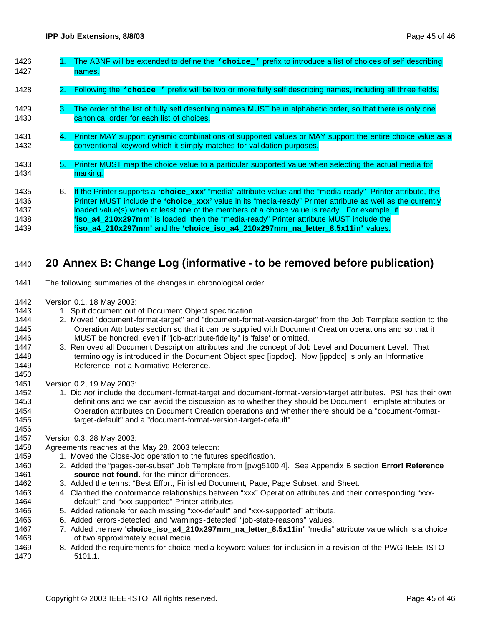| 1426<br>1427                         |    | The ABNF will be extended to define the vchoice_' prefix to introduce a list of choices of self describing<br>names.                                                                                                                                                                                                                                                                                                                                                                                           |
|--------------------------------------|----|----------------------------------------------------------------------------------------------------------------------------------------------------------------------------------------------------------------------------------------------------------------------------------------------------------------------------------------------------------------------------------------------------------------------------------------------------------------------------------------------------------------|
| 1428                                 |    | 2. Following the 'choice_' prefix will be two or more fully self describing names, including all three fields.                                                                                                                                                                                                                                                                                                                                                                                                 |
| 1429<br>1430                         | З. | The order of the list of fully self describing names MUST be in alphabetic order, so that there is only one<br>canonical order for each list of choices.                                                                                                                                                                                                                                                                                                                                                       |
| 1431<br>1432                         | 4. | Printer MAY support dynamic combinations of supported values or MAY support the entire choice value as a<br>conventional keyword which it simply matches for validation purposes.                                                                                                                                                                                                                                                                                                                              |
| 1433<br>1434                         | 5. | Printer MUST map the choice value to a particular supported value when selecting the actual media for<br>marking.                                                                                                                                                                                                                                                                                                                                                                                              |
| 1435<br>1436<br>1437<br>1438<br>1439 | 6. | If the Printer supports a 'choice_xxx' "media" attribute value and the "media-ready" Printer attribute, the<br>Printer MUST include the 'choice_xxx' value in its "media-ready" Printer attribute as well as the currently<br>loaded value(s) when at least one of the members of a choice value is ready. For example, if<br><b>iso_a4_210x297mm'</b> is loaded, then the "media-ready" Printer attribute MUST include the<br>'iso a4 210x297mm' and the 'choice iso a4 210x297mm na letter 8.5x11in' values. |

# **20 Annex B: Change Log (informative - to be removed before publication)**

- The following summaries of the changes in chronological order:
- Version 0.1, 18 May 2003:
- 1443 1. Split document out of Document Object specification.
- 2. Moved "document-format-target" and "document-format-version-target" from the Job Template section to the Operation Attributes section so that it can be supplied with Document Creation operations and so that it MUST be honored, even if "job-attribute-fidelity" is 'false' or omitted.
- 3. Removed all Document Description attributes and the concept of Job Level and Document Level. That 1448 terminology is introduced in the Document Object spec [ippdoc]. Now [ippdoc] is only an Informative Reference, not a Normative Reference.
- Version 0.2, 19 May 2003:
- 1. Did *not* include the document-format-target and document-format-version-target attributes. PSI has their own definitions and we can avoid the discussion as to whether they should be Document Template attributes or Operation attributes on Document Creation operations and whether there should be a "document-format-1455 target-default" and a "document-format-version-target-default".
- Version 0.3, 28 May 2003:

- Agreements reaches at the May 28, 2003 telecon:
- 1459 1. Moved the Close-Job operation to the futures specification.
- 2. Added the "pages-per-subset" Job Template from [pwg5100.4]. See Appendix B section **Error! Reference source not found.** for the minor differences.
- 3. Added the terms: "Best Effort, Finished Document, Page, Page Subset, and Sheet.
- 4. Clarified the conformance relationships between "xxx" Operation attributes and their corresponding "xxx-default" and "xxx-supported" Printer attributes.
- 5. Added rationale for each missing "xxx-default" and "xxx-supported" attribute.
- 6. Added 'errors -detected' and 'warnings-detected' "job-state-reasons" values.
- 7. Added the new **'choice\_iso\_a4\_210x297mm\_na\_letter\_8.5x11in'** "media" attribute value which is a choice of two approximately equal media.
- 8. Added the requirements for choice media keyword values for inclusion in a revision of the PWG IEEE-ISTO 5101.1.